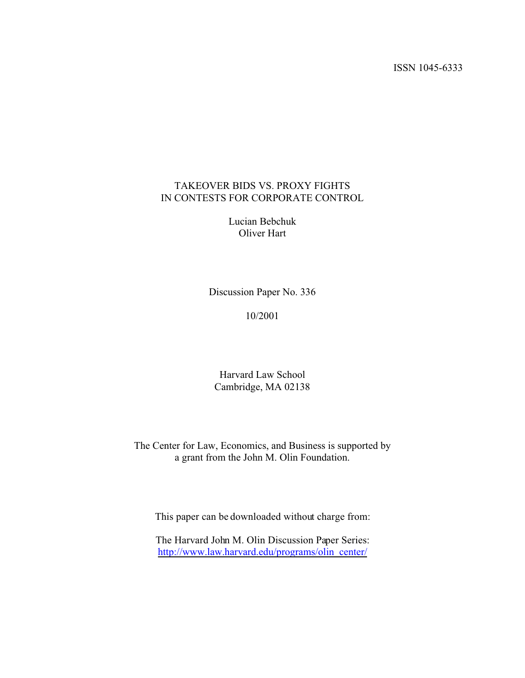ISSN 1045-6333

# TAKEOVER BIDS VS. PROXY FIGHTS IN CONTESTS FOR CORPORATE CONTROL

Lucian Bebchuk Oliver Hart

Discussion Paper No. 336

10/2001

Harvard Law School Cambridge, MA 02138

The Center for Law, Economics, and Business is supported by a grant from the John M. Olin Foundation.

This paper can be downloaded without charge from:

The Harvard John M. Olin Discussion Paper Series: http://www.law.harvard.edu/programs/olin\_center/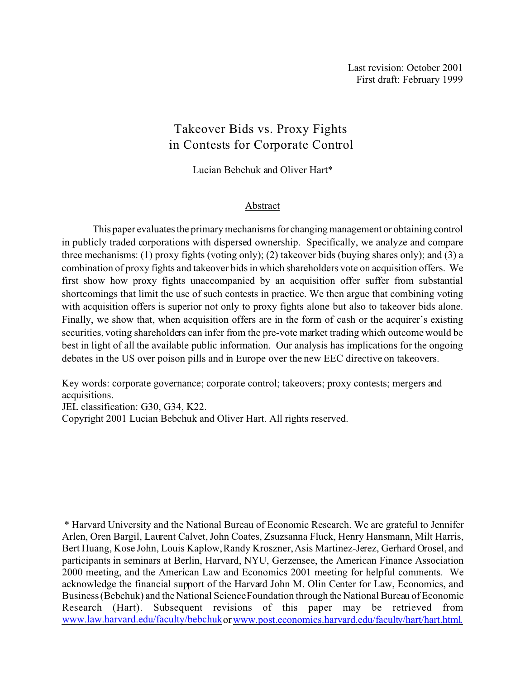# Takeover Bids vs. Proxy Fights in Contests for Corporate Control

Lucian Bebchuk and Oliver Hart\*

#### Abstract

This paper evaluates the primary mechanisms for changing management or obtaining control in publicly traded corporations with dispersed ownership. Specifically, we analyze and compare three mechanisms: (1) proxy fights (voting only); (2) takeover bids (buying shares only); and (3) a combination of proxy fights and takeover bids in which shareholders vote on acquisition offers. We first show how proxy fights unaccompanied by an acquisition offer suffer from substantial shortcomings that limit the use of such contests in practice. We then argue that combining voting with acquisition offers is superior not only to proxy fights alone but also to takeover bids alone. Finally, we show that, when acquisition offers are in the form of cash or the acquirer's existing securities, voting shareholders can infer from the pre-vote market trading which outcome would be best in light of all the available public information. Our analysis has implications for the ongoing debates in the US over poison pills and in Europe over the new EEC directive on takeovers.

Key words: corporate governance; corporate control; takeovers; proxy contests; mergers and acquisitions.

JEL classification: G30, G34, K22. Copyright 2001 Lucian Bebchuk and Oliver Hart. All rights reserved.

 \* Harvard University and the National Bureau of Economic Research. We are grateful to Jennifer Arlen, Oren Bargil, Laurent Calvet, John Coates, Zsuzsanna Fluck, Henry Hansmann, Milt Harris, Bert Huang, Kose John, Louis Kaplow, Randy Kroszner, Asis Martinez-Jerez, Gerhard Orosel, and participants in seminars at Berlin, Harvard, NYU, Gerzensee, the American Finance Association 2000 meeting, and the American Law and Economics 2001 meeting for helpful comments. We acknowledge the financial support of the Harvard John M. Olin Center for Law, Economics, and Business (Bebchuk) and the National Science Foundation through the National Bureau of Economic Research (Hart). Subsequent revisions of this paper may be retrieved from www.law.harvard.edu/faculty/bebchuk or www.post.economics.harvard.edu/faculty/hart/hart.html.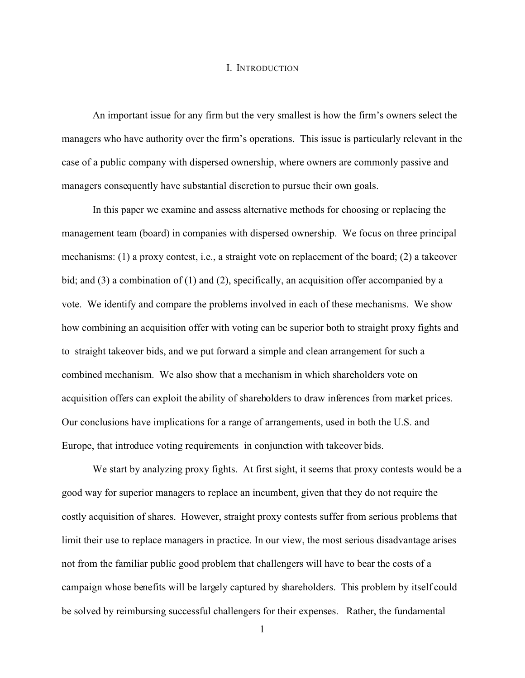#### I. INTRODUCTION

An important issue for any firm but the very smallest is how the firm's owners select the managers who have authority over the firm's operations. This issue is particularly relevant in the case of a public company with dispersed ownership, where owners are commonly passive and managers consequently have substantial discretion to pursue their own goals.

In this paper we examine and assess alternative methods for choosing or replacing the management team (board) in companies with dispersed ownership. We focus on three principal mechanisms: (1) a proxy contest, i.e., a straight vote on replacement of the board; (2) a takeover bid; and (3) a combination of (1) and (2), specifically, an acquisition offer accompanied by a vote. We identify and compare the problems involved in each of these mechanisms. We show how combining an acquisition offer with voting can be superior both to straight proxy fights and to straight takeover bids, and we put forward a simple and clean arrangement for such a combined mechanism. We also show that a mechanism in which shareholders vote on acquisition offers can exploit the ability of shareholders to draw inferences from market prices. Our conclusions have implications for a range of arrangements, used in both the U.S. and Europe, that introduce voting requirements in conjunction with takeover bids.

We start by analyzing proxy fights. At first sight, it seems that proxy contests would be a good way for superior managers to replace an incumbent, given that they do not require the costly acquisition of shares. However, straight proxy contests suffer from serious problems that limit their use to replace managers in practice. In our view, the most serious disadvantage arises not from the familiar public good problem that challengers will have to bear the costs of a campaign whose benefits will be largely captured by shareholders. This problem by itself could be solved by reimbursing successful challengers for their expenses. Rather, the fundamental

1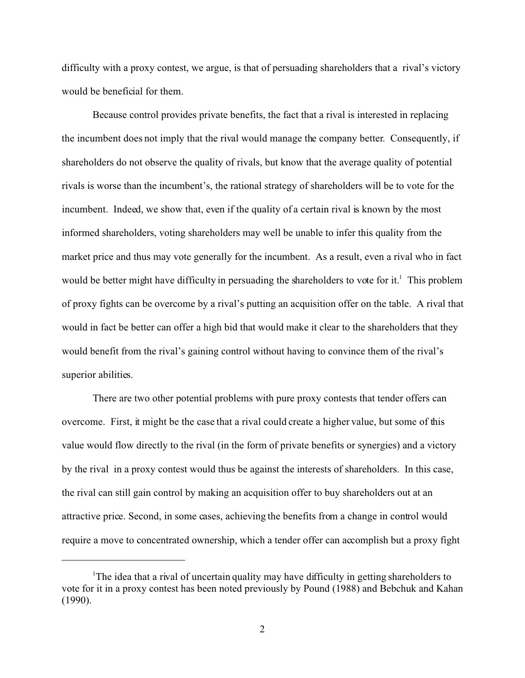difficulty with a proxy contest, we argue, is that of persuading shareholders that a rival's victory would be beneficial for them.

Because control provides private benefits, the fact that a rival is interested in replacing the incumbent does not imply that the rival would manage the company better. Consequently, if shareholders do not observe the quality of rivals, but know that the average quality of potential rivals is worse than the incumbent's, the rational strategy of shareholders will be to vote for the incumbent. Indeed, we show that, even if the quality of a certain rival is known by the most informed shareholders, voting shareholders may well be unable to infer this quality from the market price and thus may vote generally for the incumbent. As a result, even a rival who in fact would be better might have difficulty in persuading the shareholders to vote for it.<sup>1</sup> This problem of proxy fights can be overcome by a rival's putting an acquisition offer on the table. A rival that would in fact be better can offer a high bid that would make it clear to the shareholders that they would benefit from the rival's gaining control without having to convince them of the rival's superior abilities.

There are two other potential problems with pure proxy contests that tender offers can overcome. First, it might be the case that a rival could create a higher value, but some of this value would flow directly to the rival (in the form of private benefits or synergies) and a victory by the rival in a proxy contest would thus be against the interests of shareholders. In this case, the rival can still gain control by making an acquisition offer to buy shareholders out at an attractive price. Second, in some cases, achieving the benefits from a change in control would require a move to concentrated ownership, which a tender offer can accomplish but a proxy fight

<sup>1</sup>The idea that a rival of uncertain quality may have difficulty in getting shareholders to vote for it in a proxy contest has been noted previously by Pound (1988) and Bebchuk and Kahan (1990).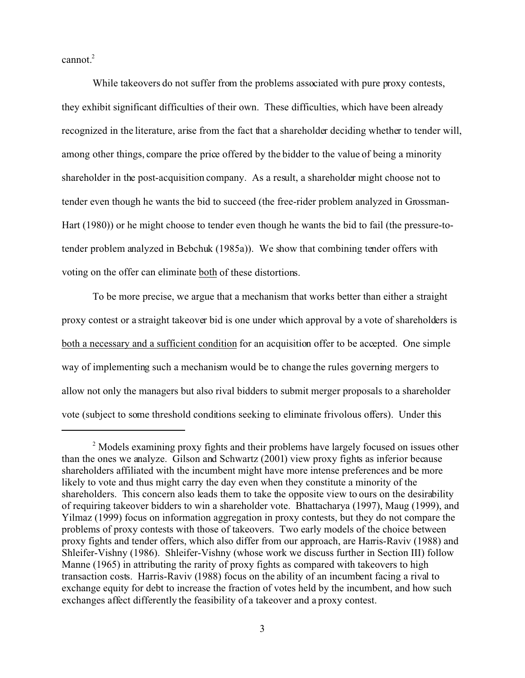cannot.<sup>2</sup>

While takeovers do not suffer from the problems associated with pure proxy contests, they exhibit significant difficulties of their own. These difficulties, which have been already recognized in the literature, arise from the fact that a shareholder deciding whether to tender will, among other things, compare the price offered by the bidder to the value of being a minority shareholder in the post-acquisition company. As a result, a shareholder might choose not to tender even though he wants the bid to succeed (the free-rider problem analyzed in Grossman-Hart (1980)) or he might choose to tender even though he wants the bid to fail (the pressure-totender problem analyzed in Bebchuk (1985a)). We show that combining tender offers with voting on the offer can eliminate both of these distortions.

To be more precise, we argue that a mechanism that works better than either a straight proxy contest or a straight takeover bid is one under which approval by a vote of shareholders is both a necessary and a sufficient condition for an acquisition offer to be accepted. One simple way of implementing such a mechanism would be to change the rules governing mergers to allow not only the managers but also rival bidders to submit merger proposals to a shareholder vote (subject to some threshold conditions seeking to eliminate frivolous offers). Under this

<sup>&</sup>lt;sup>2</sup> Models examining proxy fights and their problems have largely focused on issues other than the ones we analyze. Gilson and Schwartz (2001) view proxy fights as inferior because shareholders affiliated with the incumbent might have more intense preferences and be more likely to vote and thus might carry the day even when they constitute a minority of the shareholders. This concern also leads them to take the opposite view to ours on the desirability of requiring takeover bidders to win a shareholder vote. Bhattacharya (1997), Maug (1999), and Yilmaz (1999) focus on information aggregation in proxy contests, but they do not compare the problems of proxy contests with those of takeovers. Two early models of the choice between proxy fights and tender offers, which also differ from our approach, are Harris-Raviv (1988) and Shleifer-Vishny (1986). Shleifer-Vishny (whose work we discuss further in Section III) follow Manne (1965) in attributing the rarity of proxy fights as compared with takeovers to high transaction costs. Harris-Raviv (1988) focus on the ability of an incumbent facing a rival to exchange equity for debt to increase the fraction of votes held by the incumbent, and how such exchanges affect differently the feasibility of a takeover and a proxy contest.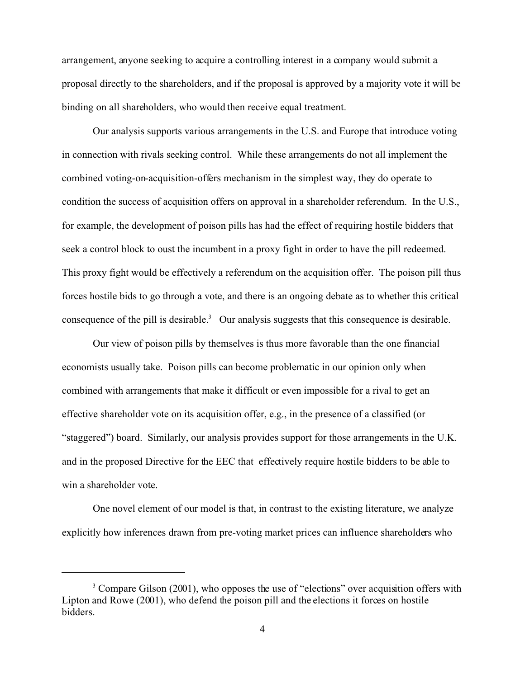arrangement, anyone seeking to acquire a controlling interest in a company would submit a proposal directly to the shareholders, and if the proposal is approved by a majority vote it will be binding on all shareholders, who would then receive equal treatment.

Our analysis supports various arrangements in the U.S. and Europe that introduce voting in connection with rivals seeking control. While these arrangements do not all implement the combined voting-on-acquisition-offers mechanism in the simplest way, they do operate to condition the success of acquisition offers on approval in a shareholder referendum. In the U.S., for example, the development of poison pills has had the effect of requiring hostile bidders that seek a control block to oust the incumbent in a proxy fight in order to have the pill redeemed. This proxy fight would be effectively a referendum on the acquisition offer. The poison pill thus forces hostile bids to go through a vote, and there is an ongoing debate as to whether this critical consequence of the pill is desirable.<sup>3</sup> Our analysis suggests that this consequence is desirable.

Our view of poison pills by themselves is thus more favorable than the one financial economists usually take. Poison pills can become problematic in our opinion only when combined with arrangements that make it difficult or even impossible for a rival to get an effective shareholder vote on its acquisition offer, e.g., in the presence of a classified (or "staggered") board. Similarly, our analysis provides support for those arrangements in the U.K. and in the proposed Directive for the EEC that effectively require hostile bidders to be able to win a shareholder vote.

One novel element of our model is that, in contrast to the existing literature, we analyze explicitly how inferences drawn from pre-voting market prices can influence shareholders who

<sup>&</sup>lt;sup>3</sup> Compare Gilson (2001), who opposes the use of "elections" over acquisition offers with Lipton and Rowe (2001), who defend the poison pill and the elections it forces on hostile bidders.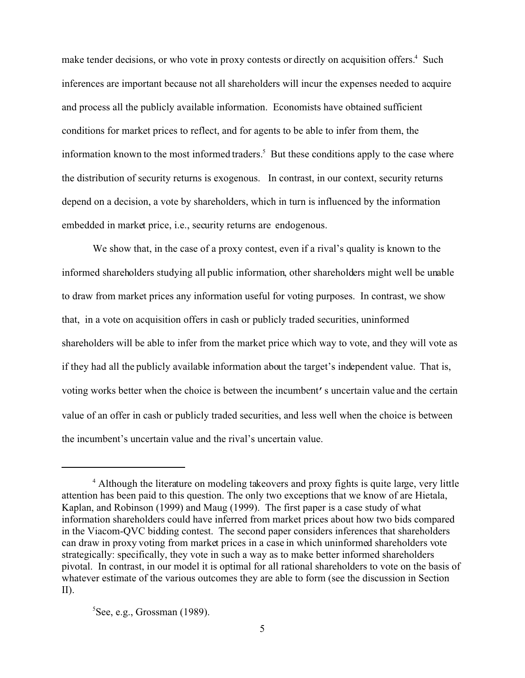make tender decisions, or who vote in proxy contests or directly on acquisition offers.<sup>4</sup> Such inferences are important because not all shareholders will incur the expenses needed to acquire and process all the publicly available information. Economists have obtained sufficient conditions for market prices to reflect, and for agents to be able to infer from them, the information known to the most informed traders.<sup>5</sup> But these conditions apply to the case where the distribution of security returns is exogenous. In contrast, in our context, security returns depend on a decision, a vote by shareholders, which in turn is influenced by the information embedded in market price, i.e., security returns are endogenous.

We show that, in the case of a proxy contest, even if a rival's quality is known to the informed shareholders studying all public information, other shareholders might well be unable to draw from market prices any information useful for voting purposes. In contrast, we show that, in a vote on acquisition offers in cash or publicly traded securities, uninformed shareholders will be able to infer from the market price which way to vote, and they will vote as if they had all the publicly available information about the target's independent value. That is, voting works better when the choice is between the incumbent's uncertain value and the certain value of an offer in cash or publicly traded securities, and less well when the choice is between the incumbent's uncertain value and the rival's uncertain value.

 ${}^{5}$ See, e.g., Grossman (1989).

<sup>&</sup>lt;sup>4</sup> Although the literature on modeling takeovers and proxy fights is quite large, very little attention has been paid to this question. The only two exceptions that we know of are Hietala, Kaplan, and Robinson (1999) and Maug (1999). The first paper is a case study of what information shareholders could have inferred from market prices about how two bids compared in the Viacom-QVC bidding contest. The second paper considers inferences that shareholders can draw in proxy voting from market prices in a case in which uninformed shareholders vote strategically: specifically, they vote in such a way as to make better informed shareholders pivotal. In contrast, in our model it is optimal for all rational shareholders to vote on the basis of whatever estimate of the various outcomes they are able to form (see the discussion in Section II).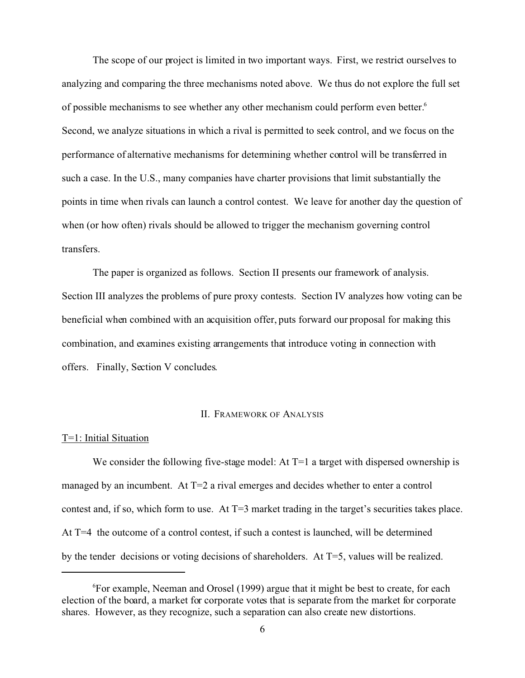The scope of our project is limited in two important ways. First, we restrict ourselves to analyzing and comparing the three mechanisms noted above. We thus do not explore the full set of possible mechanisms to see whether any other mechanism could perform even better.<sup>6</sup> Second, we analyze situations in which a rival is permitted to seek control, and we focus on the performance of alternative mechanisms for determining whether control will be transferred in such a case. In the U.S., many companies have charter provisions that limit substantially the points in time when rivals can launch a control contest. We leave for another day the question of when (or how often) rivals should be allowed to trigger the mechanism governing control transfers.

The paper is organized as follows. Section II presents our framework of analysis. Section III analyzes the problems of pure proxy contests. Section IV analyzes how voting can be beneficial when combined with an acquisition offer, puts forward our proposal for making this combination, and examines existing arrangements that introduce voting in connection with offers. Finally, Section V concludes.

#### II. FRAMEWORK OF ANALYSIS

#### T=1: Initial Situation

We consider the following five-stage model: At  $T=1$  a target with dispersed ownership is managed by an incumbent. At  $T=2$  a rival emerges and decides whether to enter a control contest and, if so, which form to use. At T=3 market trading in the target's securities takes place. At T=4 the outcome of a control contest, if such a contest is launched, will be determined by the tender decisions or voting decisions of shareholders. At T=5, values will be realized.

<sup>6</sup> For example, Neeman and Orosel (1999) argue that it might be best to create, for each election of the board, a market for corporate votes that is separate from the market for corporate shares. However, as they recognize, such a separation can also create new distortions.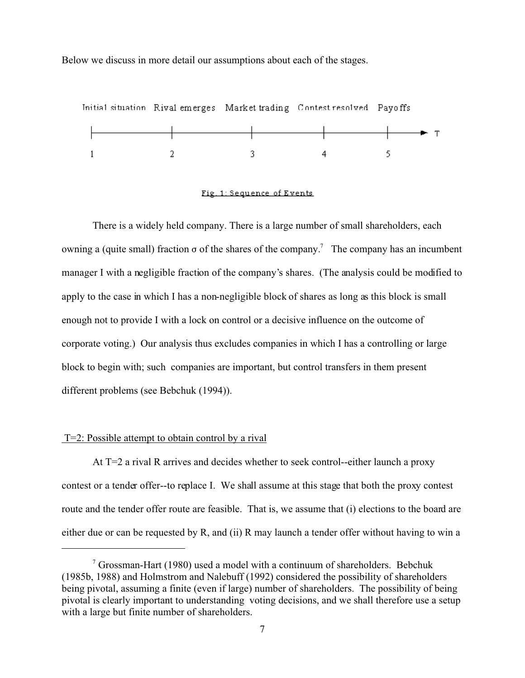Below we discuss in more detail our assumptions about each of the stages.



#### Fig. 1: Sequence of Events

There is a widely held company. There is a large number of small shareholders, each owning a (quite small) fraction  $\sigma$  of the shares of the company.<sup>7</sup> The company has an incumbent manager I with a negligible fraction of the company's shares. (The analysis could be modified to apply to the case in which I has a non-negligible block of shares as long as this block is small enough not to provide I with a lock on control or a decisive influence on the outcome of corporate voting.) Our analysis thus excludes companies in which I has a controlling or large block to begin with; such companies are important, but control transfers in them present different problems (see Bebchuk (1994)).

#### T=2: Possible attempt to obtain control by a rival

At T=2 a rival R arrives and decides whether to seek control--either launch a proxy contest or a tender offer--to replace I. We shall assume at this stage that both the proxy contest route and the tender offer route are feasible. That is, we assume that (i) elections to the board are either due or can be requested by R, and (ii) R may launch a tender offer without having to win a

 $7$  Grossman-Hart (1980) used a model with a continuum of shareholders. Bebchuk (1985b, 1988) and Holmstrom and Nalebuff (1992) considered the possibility of shareholders being pivotal, assuming a finite (even if large) number of shareholders. The possibility of being pivotal is clearly important to understanding voting decisions, and we shall therefore use a setup with a large but finite number of shareholders.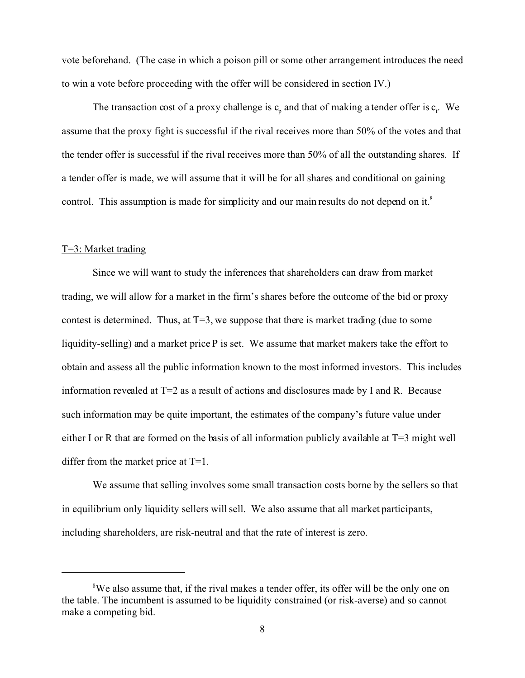vote beforehand. (The case in which a poison pill or some other arrangement introduces the need to win a vote before proceeding with the offer will be considered in section IV.)

The transaction cost of a proxy challenge is  $c_p$  and that of making a tender offer is  $c_t$ . We assume that the proxy fight is successful if the rival receives more than 50% of the votes and that the tender offer is successful if the rival receives more than 50% of all the outstanding shares. If a tender offer is made, we will assume that it will be for all shares and conditional on gaining control. This assumption is made for simplicity and our main results do not depend on it.<sup>8</sup>

## T=3: Market trading

Since we will want to study the inferences that shareholders can draw from market trading, we will allow for a market in the firm's shares before the outcome of the bid or proxy contest is determined. Thus, at  $T=3$ , we suppose that there is market trading (due to some liquidity-selling) and a market price P is set. We assume that market makers take the effort to obtain and assess all the public information known to the most informed investors. This includes information revealed at  $T=2$  as a result of actions and disclosures made by I and R. Because such information may be quite important, the estimates of the company's future value under either I or R that are formed on the basis of all information publicly available at T=3 might well differ from the market price at T=1.

We assume that selling involves some small transaction costs borne by the sellers so that in equilibrium only liquidity sellers will sell. We also assume that all market participants, including shareholders, are risk-neutral and that the rate of interest is zero.

<sup>&</sup>lt;sup>8</sup>We also assume that, if the rival makes a tender offer, its offer will be the only one on the table. The incumbent is assumed to be liquidity constrained (or risk-averse) and so cannot make a competing bid.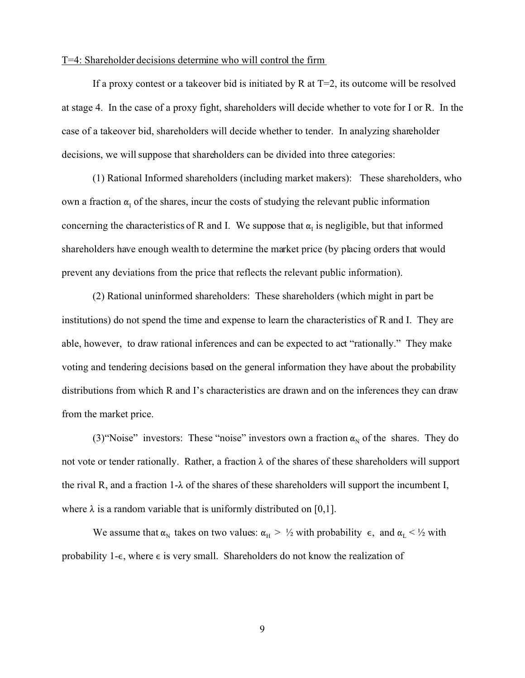#### T=4: Shareholder decisions determine who will control the firm

If a proxy contest or a takeover bid is initiated by R at  $T=2$ , its outcome will be resolved at stage 4. In the case of a proxy fight, shareholders will decide whether to vote for I or R. In the case of a takeover bid, shareholders will decide whether to tender. In analyzing shareholder decisions, we will suppose that shareholders can be divided into three categories:

(1) Rational Informed shareholders (including market makers): These shareholders, who own a fraction  $\alpha_{\rm I}$  of the shares, incur the costs of studying the relevant public information concerning the characteristics of R and I. We suppose that  $\alpha_I$  is negligible, but that informed shareholders have enough wealth to determine the market price (by placing orders that would prevent any deviations from the price that reflects the relevant public information).

(2) Rational uninformed shareholders: These shareholders (which might in part be institutions) do not spend the time and expense to learn the characteristics of R and I. They are able, however, to draw rational inferences and can be expected to act "rationally." They make voting and tendering decisions based on the general information they have about the probability distributions from which R and I's characteristics are drawn and on the inferences they can draw from the market price.

(3) "Noise" investors: These "noise" investors own a fraction  $\alpha_N$  of the shares. They do not vote or tender rationally. Rather, a fraction  $\lambda$  of the shares of these shareholders will support the rival R, and a fraction 1- $\lambda$  of the shares of these shareholders will support the incumbent I, where  $\lambda$  is a random variable that is uniformly distributed on [0,1].

We assume that  $\alpha_N$  takes on two values:  $\alpha_H > \frac{1}{2}$  with probability  $\epsilon$ , and  $\alpha_L < \frac{1}{2}$  with probability 1- $\epsilon$ , where  $\epsilon$  is very small. Shareholders do not know the realization of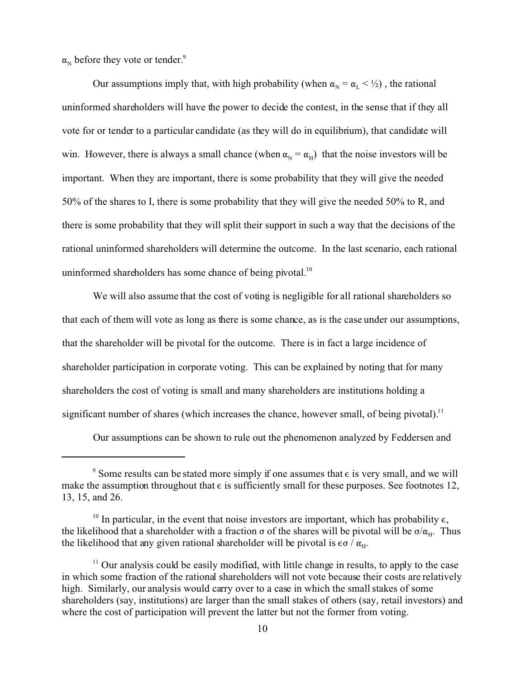$\alpha_{\rm N}$  before they vote or tender.<sup>9</sup>

Our assumptions imply that, with high probability (when  $\alpha_N = \alpha_L < 1/2$ ), the rational uninformed shareholders will have the power to decide the contest, in the sense that if they all vote for or tender to a particular candidate (as they will do in equilibrium), that candidate will win. However, there is always a small chance (when  $\alpha_N = \alpha_H$ ) that the noise investors will be important. When they are important, there is some probability that they will give the needed 50% of the shares to I, there is some probability that they will give the needed 50% to R, and there is some probability that they will split their support in such a way that the decisions of the rational uninformed shareholders will determine the outcome. In the last scenario, each rational uninformed shareholders has some chance of being pivotal. $10$ 

We will also assume that the cost of voting is negligible for all rational shareholders so that each of them will vote as long as there is some chance, as is the case under our assumptions, that the shareholder will be pivotal for the outcome. There is in fact a large incidence of shareholder participation in corporate voting. This can be explained by noting that for many shareholders the cost of voting is small and many shareholders are institutions holding a significant number of shares (which increases the chance, however small, of being pivotal).<sup>11</sup>

Our assumptions can be shown to rule out the phenomenon analyzed by Feddersen and

<sup>&</sup>lt;sup>9</sup> Some results can be stated more simply if one assumes that  $\epsilon$  is very small, and we will make the assumption throughout that  $\epsilon$  is sufficiently small for these purposes. See footnotes 12, 13, 15, and 26.

<sup>&</sup>lt;sup>10</sup> In particular, in the event that noise investors are important, which has probability  $\epsilon$ , the likelihood that a shareholder with a fraction  $\sigma$  of the shares will be pivotal will be  $\sigma/\alpha_H$ . Thus the likelihood that any given rational shareholder will be pivotal is  $\epsilon \sigma / \alpha_{\text{H}}$ .

<sup>&</sup>lt;sup>11</sup> Our analysis could be easily modified, with little change in results, to apply to the case in which some fraction of the rational shareholders will not vote because their costs are relatively high. Similarly, our analysis would carry over to a case in which the small stakes of some shareholders (say, institutions) are larger than the small stakes of others (say, retail investors) and where the cost of participation will prevent the latter but not the former from voting.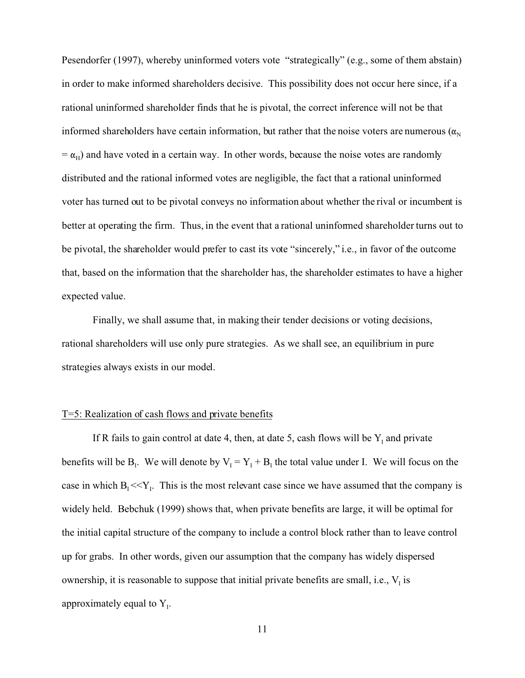Pesendorfer (1997), whereby uninformed voters vote "strategically" (e.g., some of them abstain) in order to make informed shareholders decisive. This possibility does not occur here since, if a rational uninformed shareholder finds that he is pivotal, the correct inference will not be that informed shareholders have certain information, but rather that the noise voters are numerous ( $\alpha_N$ )  $= \alpha_H$ ) and have voted in a certain way. In other words, because the noise votes are randomly distributed and the rational informed votes are negligible, the fact that a rational uninformed voter has turned out to be pivotal conveys no information about whether the rival or incumbent is better at operating the firm. Thus, in the event that a rational uninformed shareholder turns out to be pivotal, the shareholder would prefer to cast its vote "sincerely," i.e., in favor of the outcome that, based on the information that the shareholder has, the shareholder estimates to have a higher expected value.

Finally, we shall assume that, in making their tender decisions or voting decisions, rational shareholders will use only pure strategies. As we shall see, an equilibrium in pure strategies always exists in our model.

## T=5: Realization of cash flows and private benefits

If R fails to gain control at date 4, then, at date 5, cash flows will be  $Y_1$  and private benefits will be  $B<sub>i</sub>$ . We will denote by  $V<sub>i</sub> = Y<sub>i</sub> + B<sub>i</sub>$  the total value under I. We will focus on the case in which  $B_1 \ll Y_1$ . This is the most relevant case since we have assumed that the company is widely held. Bebchuk (1999) shows that, when private benefits are large, it will be optimal for the initial capital structure of the company to include a control block rather than to leave control up for grabs. In other words, given our assumption that the company has widely dispersed ownership, it is reasonable to suppose that initial private benefits are small, i.e.,  $V<sub>I</sub>$  is approximately equal to  $Y_{I}$ .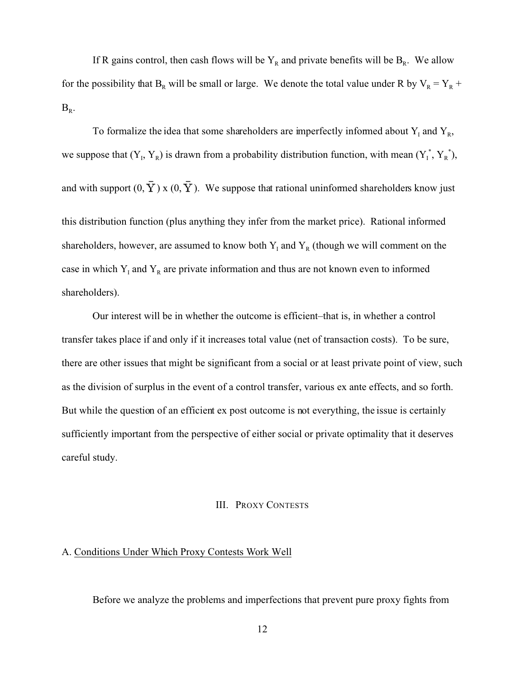If R gains control, then cash flows will be  $Y_R$  and private benefits will be  $B_R$ . We allow for the possibility that  $B_R$  will be small or large. We denote the total value under R by  $V_R = Y_R$  +  $B_R$ .

To formalize the idea that some shareholders are imperfectly informed about  $Y_1$  and  $Y_R$ , we suppose that  $(Y_1, Y_R)$  is drawn from a probability distribution function, with mean  $(Y_1^*, Y_R^*)$ , and with support  $(0, \overline{Y})$  x  $(0, \overline{Y})$ . We suppose that rational uninformed shareholders know just this distribution function (plus anything they infer from the market price). Rational informed shareholders, however, are assumed to know both  $Y_I$  and  $Y_R$  (though we will comment on the case in which  $Y_I$  and  $Y_R$  are private information and thus are not known even to informed shareholders).

Our interest will be in whether the outcome is efficient–that is, in whether a control transfer takes place if and only if it increases total value (net of transaction costs). To be sure, there are other issues that might be significant from a social or at least private point of view, such as the division of surplus in the event of a control transfer, various ex ante effects, and so forth. But while the question of an efficient ex post outcome is not everything, the issue is certainly sufficiently important from the perspective of either social or private optimality that it deserves careful study.

# III. PROXY CONTESTS

# A. Conditions Under Which Proxy Contests Work Well

Before we analyze the problems and imperfections that prevent pure proxy fights from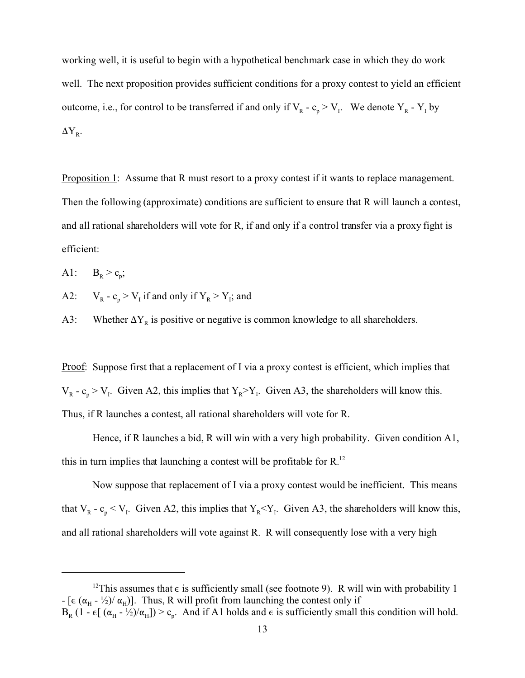working well, it is useful to begin with a hypothetical benchmark case in which they do work well. The next proposition provides sufficient conditions for a proxy contest to yield an efficient outcome, i.e., for control to be transferred if and only if  $V_R - c_p > V_I$ . We denote  $Y_R - Y_I$  by  $\Delta Y_R$ .

Proposition 1: Assume that R must resort to a proxy contest if it wants to replace management. Then the following (approximate) conditions are sufficient to ensure that R will launch a contest, and all rational shareholders will vote for R, if and only if a control transfer via a proxy fight is efficient:

 $A1$ :  $>c_p$ ;

 $A2$ :  $-c_p > V_I$  if and only if  $Y_R > Y_I$ ; and

A3: Whether  $\Delta Y_R$  is positive or negative is common knowledge to all shareholders.

Proof: Suppose first that a replacement of I via a proxy contest is efficient, which implies that  $V_R - c_p > V_I$ . Given A2, this implies that  $Y_R > Y_I$ . Given A3, the shareholders will know this. Thus, if R launches a contest, all rational shareholders will vote for R.

Hence, if R launches a bid, R will win with a very high probability. Given condition A1, this in turn implies that launching a contest will be profitable for R.<sup>12</sup>

Now suppose that replacement of I via a proxy contest would be inefficient. This means that  $V_R - c_p \leq V_I$ . Given A2, this implies that  $Y_R \leq Y_I$ . Given A3, the shareholders will know this, and all rational shareholders will vote against R. R will consequently lose with a very high

<sup>&</sup>lt;sup>12</sup>This assumes that  $\epsilon$  is sufficiently small (see footnote 9). R will win with probability 1 - [ $\epsilon$  ( $\alpha_H$  -  $\frac{1}{2}$ )/ $\alpha_H$ )]. Thus, R will profit from launching the contest only if  $B_R$  (1 -  $\epsilon$ [ ( $\alpha_H$  - ½)/ $\alpha_H$ ]) >  $c_p$ . And if A1 holds and  $\epsilon$  is sufficiently small this condition will hold.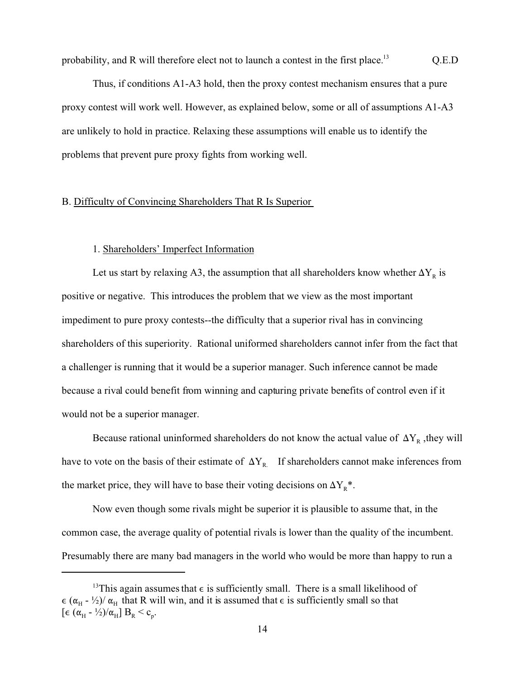probability, and R will therefore elect not to launch a contest in the first place.<sup>13</sup> Q.E.D

Thus, if conditions A1-A3 hold, then the proxy contest mechanism ensures that a pure proxy contest will work well. However, as explained below, some or all of assumptions A1-A3 are unlikely to hold in practice. Relaxing these assumptions will enable us to identify the problems that prevent pure proxy fights from working well.

# B. Difficulty of Convincing Shareholders That R Is Superior

# 1. Shareholders' Imperfect Information

Let us start by relaxing A3, the assumption that all shareholders know whether  $\Delta Y_R$  is positive or negative. This introduces the problem that we view as the most important impediment to pure proxy contests--the difficulty that a superior rival has in convincing shareholders of this superiority. Rational uniformed shareholders cannot infer from the fact that a challenger is running that it would be a superior manager. Such inference cannot be made because a rival could benefit from winning and capturing private benefits of control even if it would not be a superior manager.

Because rational uninformed shareholders do not know the actual value of  $\Delta Y_R$ , they will have to vote on the basis of their estimate of  $\Delta Y_R$ . If shareholders cannot make inferences from the market price, they will have to base their voting decisions on  $\Delta Y_R^*$ .

Now even though some rivals might be superior it is plausible to assume that, in the common case, the average quality of potential rivals is lower than the quality of the incumbent. Presumably there are many bad managers in the world who would be more than happy to run a

<sup>&</sup>lt;sup>13</sup>This again assumes that  $\epsilon$  is sufficiently small. There is a small likelihood of  $\epsilon$  ( $\alpha_H$  -  $\frac{1}{2}$ )/ $\alpha_H$  that R will win, and it is assumed that  $\epsilon$  is sufficiently small so that [ $\epsilon$  ( $\alpha_{\rm H}$  -  $\frac{1}{2}$ )/ $\alpha_{\rm H}$ ]  $B_{\rm R}$  <  $c_{\rm p}$ .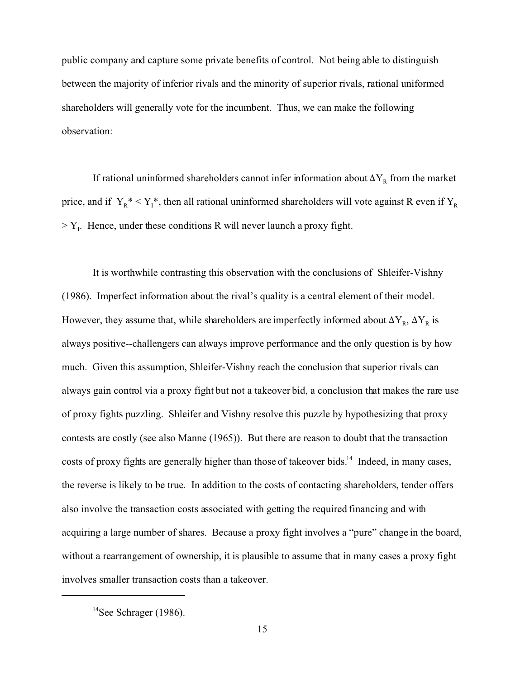public company and capture some private benefits of control. Not being able to distinguish between the majority of inferior rivals and the minority of superior rivals, rational uniformed shareholders will generally vote for the incumbent. Thus, we can make the following observation:

If rational uninformed shareholders cannot infer information about  $\Delta Y_R$  from the market price, and if  $Y_R^* < Y_I^*$ , then all rational uninformed shareholders will vote against R even if  $Y_R$  $> Y<sub>I</sub>$ . Hence, under these conditions R will never launch a proxy fight.

It is worthwhile contrasting this observation with the conclusions of Shleifer-Vishny (1986). Imperfect information about the rival's quality is a central element of their model. However, they assume that, while shareholders are imperfectly informed about  $\Delta Y_R$ ,  $\Delta Y_R$  is always positive--challengers can always improve performance and the only question is by how much. Given this assumption, Shleifer-Vishny reach the conclusion that superior rivals can always gain control via a proxy fight but not a takeover bid, a conclusion that makes the rare use of proxy fights puzzling. Shleifer and Vishny resolve this puzzle by hypothesizing that proxy contests are costly (see also Manne (1965)). But there are reason to doubt that the transaction costs of proxy fights are generally higher than those of takeover bids.<sup>14</sup> Indeed, in many cases, the reverse is likely to be true. In addition to the costs of contacting shareholders, tender offers also involve the transaction costs associated with getting the required financing and with acquiring a large number of shares. Because a proxy fight involves a "pure" change in the board, without a rearrangement of ownership, it is plausible to assume that in many cases a proxy fight involves smaller transaction costs than a takeover.

 $14$ See Schrager (1986).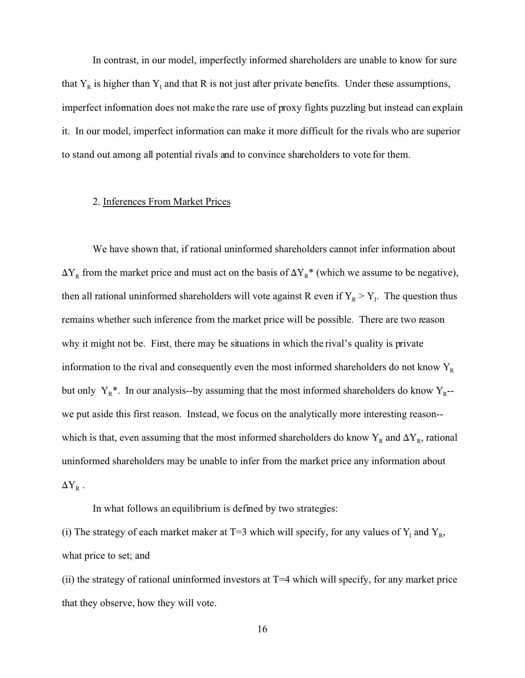In contrast, in our model, imperfectly informed shareholders are unable to know for sure that  $Y_R$  is higher than  $Y_I$  and that R is not just after private benefits. Under these assumptions, imperfect information does not make the rare use of proxy fights puzzling but instead can explain it. In our model, imperfect information can make it more difficult for the rivals who are superior to stand out among all potential rivals and to convince shareholders to vote for them.

## 2. Inferences From Market Prices

We have shown that, if rational uninformed shareholders cannot infer information about  $\Delta Y_R$  from the market price and must act on the basis of  $\Delta Y_R^*$  (which we assume to be negative), then all rational uninformed shareholders will vote against R even if  $Y_R > Y_I$ . The question thus remains whether such inference from the market price will be possible. There are two reason why it might not be. First, there may be situations in which the rival's quality is private information to the rival and consequently even the most informed shareholders do not know  $Y_R$ but only  $Y_R^*$ . In our analysis--by assuming that the most informed shareholders do know  $Y_R$ -we put aside this first reason. Instead, we focus on the analytically more interesting reason- which is that, even assuming that the most informed shareholders do know  $Y_R$  and  $\Delta Y_R$ , rational uninformed shareholders may be unable to infer from the market price any information about  $\Delta{\rm Y}_{\scriptscriptstyle{\rm R}}$  .

In what follows an equilibrium is defined by two strategies:

(i) The strategy of each market maker at T=3 which will specify, for any values of  $Y_I$  and  $Y_R$ , what price to set; and

(ii) the strategy of rational uninformed investors at  $T=4$  which will specify, for any market price that they observe, how they will vote.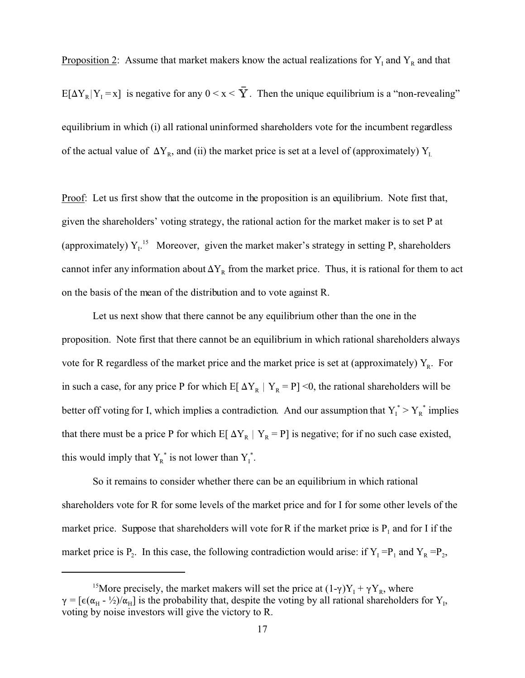Proposition 2: Assume that market makers know the actual realizations for  $Y_I$  and  $Y_R$  and that

 $E[\Delta Y_R | Y_I = x]$  is negative for any  $0 \le x \le Y$ . Then the unique equilibrium is a "non-revealing" equilibrium in which (i) all rational uninformed shareholders vote for the incumbent regardless of the actual value of  $\Delta Y_R$ , and (ii) the market price is set at a level of (approximately)  $Y_L$ 

Proof: Let us first show that the outcome in the proposition is an equilibrium. Note first that, given the shareholders' voting strategy, the rational action for the market maker is to set P at (approximately)  $Y_{I}$ <sup>15</sup> Moreover, given the market maker's strategy in setting P, shareholders cannot infer any information about  $\Delta Y_R$  from the market price. Thus, it is rational for them to act on the basis of the mean of the distribution and to vote against R.

Let us next show that there cannot be any equilibrium other than the one in the proposition. Note first that there cannot be an equilibrium in which rational shareholders always vote for R regardless of the market price and the market price is set at (approximately)  $Y_R$ . For in such a case, for any price P for which E[ $\Delta Y_R$  |  $Y_R = P$ ] <0, the rational shareholders will be better off voting for I, which implies a contradiction. And our assumption that  $Y_1^* > Y_R^*$  implies that there must be a price P for which E[ $\Delta Y_R$  |  $Y_R = P$ ] is negative; for if no such case existed, this would imply that  $Y_R^*$  is not lower than  $Y_I^*$ .

So it remains to consider whether there can be an equilibrium in which rational shareholders vote for R for some levels of the market price and for I for some other levels of the market price. Suppose that shareholders will vote for R if the market price is  $P_1$  and for I if the market price is  $P_2$ . In this case, the following contradiction would arise: if  $Y_1 = P_1$  and  $Y_R = P_2$ ,

<sup>&</sup>lt;sup>15</sup>More precisely, the market makers will set the price at  $(1-\gamma)Y_I + \gamma Y_R$ , where  $\gamma = [\epsilon(\alpha_H - \frac{1}{2})/\alpha_H]$  is the probability that, despite the voting by all rational shareholders for Y<sub>1</sub>, voting by noise investors will give the victory to R.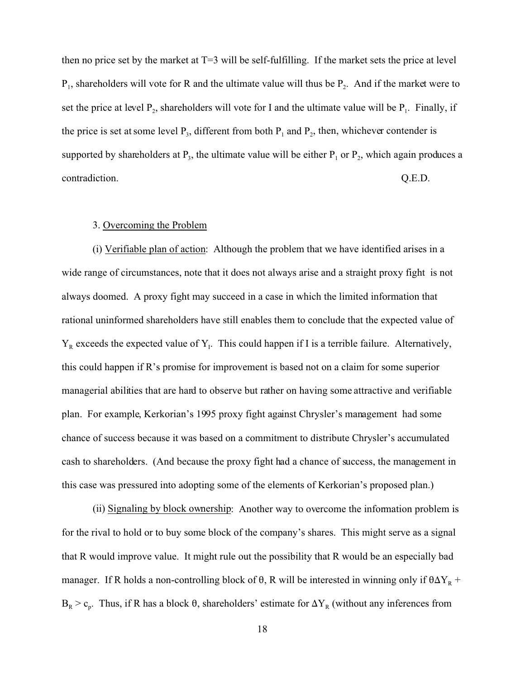then no price set by the market at T=3 will be self-fulfilling. If the market sets the price at level  $P_1$ , shareholders will vote for R and the ultimate value will thus be  $P_2$ . And if the market were to set the price at level  $P_2$ , shareholders will vote for I and the ultimate value will be  $P_1$ . Finally, if the price is set at some level  $P_3$ , different from both  $P_1$  and  $P_2$ , then, whichever contender is supported by shareholders at  $P_3$ , the ultimate value will be either  $P_1$  or  $P_2$ , which again produces a contradiction. Q.E.D.

# 3. Overcoming the Problem

(i) Verifiable plan of action: Although the problem that we have identified arises in a wide range of circumstances, note that it does not always arise and a straight proxy fight is not always doomed. A proxy fight may succeed in a case in which the limited information that rational uninformed shareholders have still enables them to conclude that the expected value of  $Y_R$  exceeds the expected value of  $Y_I$ . This could happen if I is a terrible failure. Alternatively, this could happen if R's promise for improvement is based not on a claim for some superior managerial abilities that are hard to observe but rather on having some attractive and verifiable plan. For example, Kerkorian's 1995 proxy fight against Chrysler's management had some chance of success because it was based on a commitment to distribute Chrysler's accumulated cash to shareholders. (And because the proxy fight had a chance of success, the management in this case was pressured into adopting some of the elements of Kerkorian's proposed plan.)

(ii) Signaling by block ownership: Another way to overcome the information problem is for the rival to hold or to buy some block of the company's shares. This might serve as a signal that R would improve value. It might rule out the possibility that R would be an especially bad manager. If R holds a non-controlling block of  $\theta$ , R will be interested in winning only if  $\theta \Delta Y_R$  +  $B_R > c_p$ . Thus, if R has a block  $\theta$ , shareholders' estimate for  $\Delta Y_R$  (without any inferences from

18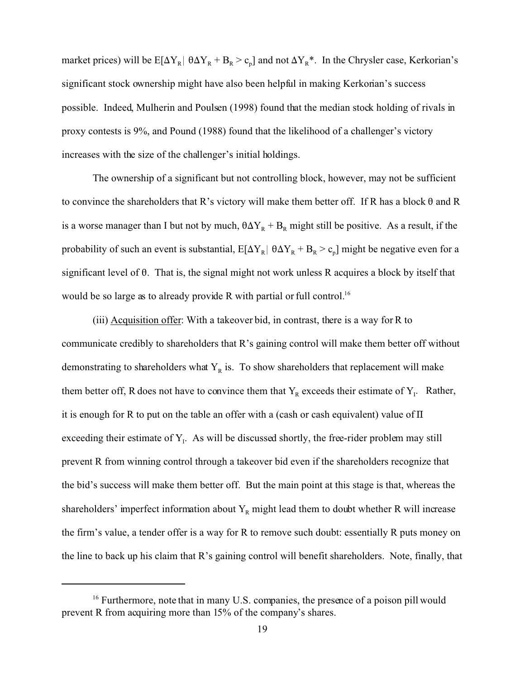market prices) will be  $E[\Delta Y_R | \theta \Delta Y_R + B_R > c_p]$  and not  $\Delta Y_R^*$ . In the Chrysler case, Kerkorian's significant stock ownership might have also been helpful in making Kerkorian's success possible. Indeed, Mulherin and Poulsen (1998) found that the median stock holding of rivals in proxy contests is 9%, and Pound (1988) found that the likelihood of a challenger's victory increases with the size of the challenger's initial holdings.

The ownership of a significant but not controlling block, however, may not be sufficient to convince the shareholders that R's victory will make them better off. If R has a block  $\theta$  and R is a worse manager than I but not by much,  $\theta \Delta Y_R + B_R$  might still be positive. As a result, if the probability of such an event is substantial,  $E[\Delta Y_R | \theta \Delta Y_R + B_R > c_p]$  might be negative even for a significant level of  $\theta$ . That is, the signal might not work unless R acquires a block by itself that would be so large as to already provide R with partial or full control.<sup>16</sup>

(iii) Acquisition offer: With a takeover bid, in contrast, there is a way for R to communicate credibly to shareholders that R's gaining control will make them better off without demonstrating to shareholders what  $Y_R$  is. To show shareholders that replacement will make them better off, R does not have to convince them that  $Y_R$  exceeds their estimate of  $Y_I$ . Rather, it is enough for R to put on the table an offer with a (cash or cash equivalent) value of  $\Pi$ exceeding their estimate of  $Y<sub>1</sub>$ . As will be discussed shortly, the free-rider problem may still prevent R from winning control through a takeover bid even if the shareholders recognize that the bid's success will make them better off. But the main point at this stage is that, whereas the shareholders' imperfect information about  $Y_R$  might lead them to doubt whether R will increase the firm's value, a tender offer is a way for R to remove such doubt: essentially R puts money on the line to back up his claim that R's gaining control will benefit shareholders. Note, finally, that

 $16$  Furthermore, note that in many U.S. companies, the presence of a poison pill would prevent R from acquiring more than 15% of the company's shares.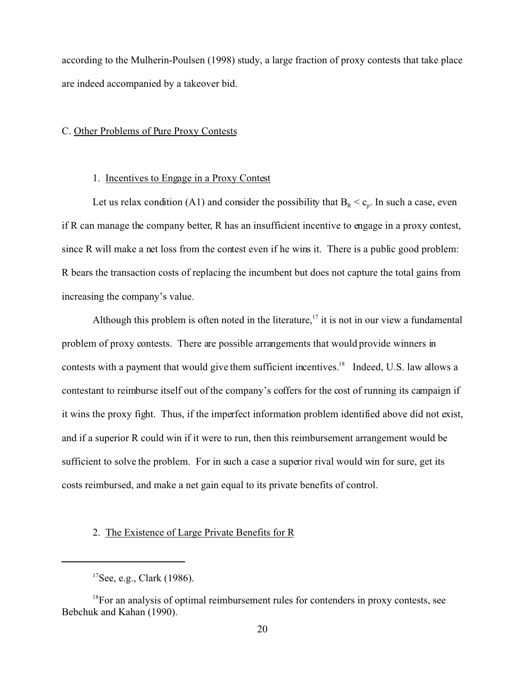according to the Mulherin-Poulsen (1998) study, a large fraction of proxy contests that take place are indeed accompanied by a takeover bid.

#### C. Other Problems of Pure Proxy Contests

## 1. Incentives to Engage in a Proxy Contest

Let us relax condition (A1) and consider the possibility that  $B_R < c_p$ . In such a case, even if R can manage the company better, R has an insufficient incentive to engage in a proxy contest, since R will make a net loss from the contest even if he wins it. There is a public good problem: R bears the transaction costs of replacing the incumbent but does not capture the total gains from increasing the company's value.

Although this problem is often noted in the literature,<sup>17</sup> it is not in our view a fundamental problem of proxy contests. There are possible arrangements that would provide winners in contests with a payment that would give them sufficient incentives.<sup>18</sup> Indeed, U.S. law allows a contestant to reimburse itself out of the company's coffers for the cost of running its campaign if it wins the proxy fight. Thus, if the imperfect information problem identified above did not exist, and if a superior R could win if it were to run, then this reimbursement arrangement would be sufficient to solve the problem. For in such a case a superior rival would win for sure, get its costs reimbursed, and make a net gain equal to its private benefits of control.

# 2. The Existence of Large Private Benefits for R

 $17$ See, e.g., Clark (1986).

 $18$ For an analysis of optimal reimbursement rules for contenders in proxy contests, see Bebchuk and Kahan (1990).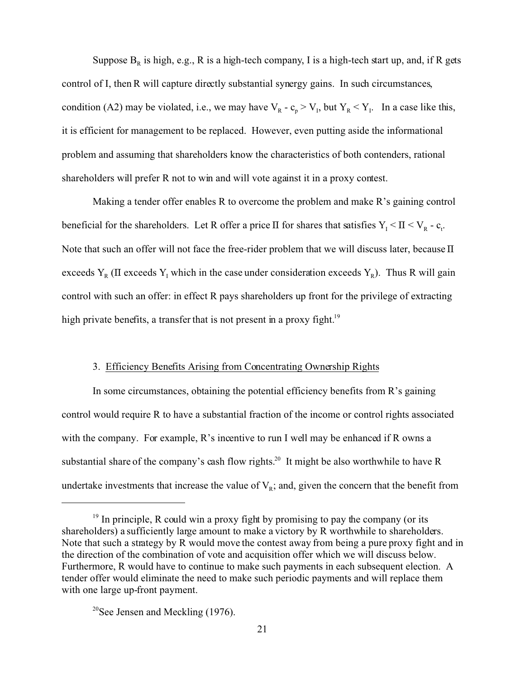Suppose  $B_R$  is high, e.g., R is a high-tech company, I is a high-tech start up, and, if R gets control of I, then R will capture directly substantial synergy gains. In such circumstances, condition (A2) may be violated, i.e., we may have  $V_R - c_p > V_I$ , but  $Y_R < Y_I$ . In a case like this, it is efficient for management to be replaced. However, even putting aside the informational problem and assuming that shareholders know the characteristics of both contenders, rational shareholders will prefer R not to win and will vote against it in a proxy contest.

Making a tender offer enables R to overcome the problem and make R's gaining control beneficial for the shareholders. Let R offer a price  $\Pi$  for shares that satisfies  $Y_I \leq \Pi \leq V_R - c_t$ . Note that such an offer will not face the free-rider problem that we will discuss later, because  $\Pi$ exceeds  $Y_R$  (II exceeds  $Y_I$  which in the case under consideration exceeds  $Y_R$ ). Thus R will gain control with such an offer: in effect R pays shareholders up front for the privilege of extracting high private benefits, a transfer that is not present in a proxy fight.<sup>19</sup>

#### 3. Efficiency Benefits Arising from Concentrating Ownership Rights

In some circumstances, obtaining the potential efficiency benefits from R's gaining control would require R to have a substantial fraction of the income or control rights associated with the company. For example, R's incentive to run I well may be enhanced if R owns a substantial share of the company's cash flow rights.<sup>20</sup> It might be also worthwhile to have R undertake investments that increase the value of  $V_R$ ; and, given the concern that the benefit from

 $19$  In principle, R could win a proxy fight by promising to pay the company (or its shareholders) a sufficiently large amount to make a victory by R worthwhile to shareholders. Note that such a strategy by R would move the contest away from being a pure proxy fight and in the direction of the combination of vote and acquisition offer which we will discuss below. Furthermore, R would have to continue to make such payments in each subsequent election. A tender offer would eliminate the need to make such periodic payments and will replace them with one large up-front payment.

<sup>&</sup>lt;sup>20</sup>See Jensen and Meckling  $(1976)$ .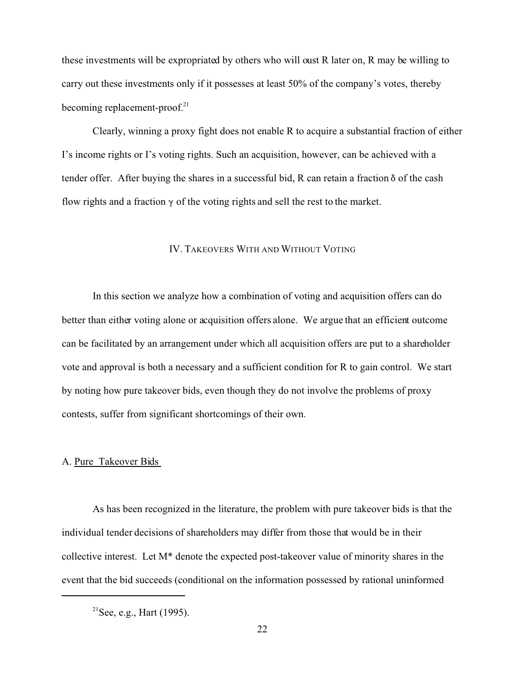these investments will be expropriated by others who will oust R later on, R may be willing to carry out these investments only if it possesses at least 50% of the company's votes, thereby becoming replacement-proof. $2<sup>1</sup>$ 

Clearly, winning a proxy fight does not enable R to acquire a substantial fraction of either I's income rights or I's voting rights. Such an acquisition, however, can be achieved with a tender offer. After buying the shares in a successful bid, R can retain a fraction  $\delta$  of the cash flow rights and a fraction  $\gamma$  of the voting rights and sell the rest to the market.

## IV. TAKEOVERS WITH AND WITHOUT VOTING

In this section we analyze how a combination of voting and acquisition offers can do better than either voting alone or acquisition offers alone. We argue that an efficient outcome can be facilitated by an arrangement under which all acquisition offers are put to a shareholder vote and approval is both a necessary and a sufficient condition for R to gain control. We start by noting how pure takeover bids, even though they do not involve the problems of proxy contests, suffer from significant shortcomings of their own.

# A. Pure Takeover Bids

As has been recognized in the literature, the problem with pure takeover bids is that the individual tender decisions of shareholders may differ from those that would be in their collective interest. Let M\* denote the expected post-takeover value of minority shares in the event that the bid succeeds (conditional on the information possessed by rational uninformed

 $2^{21}$ See, e.g., Hart (1995).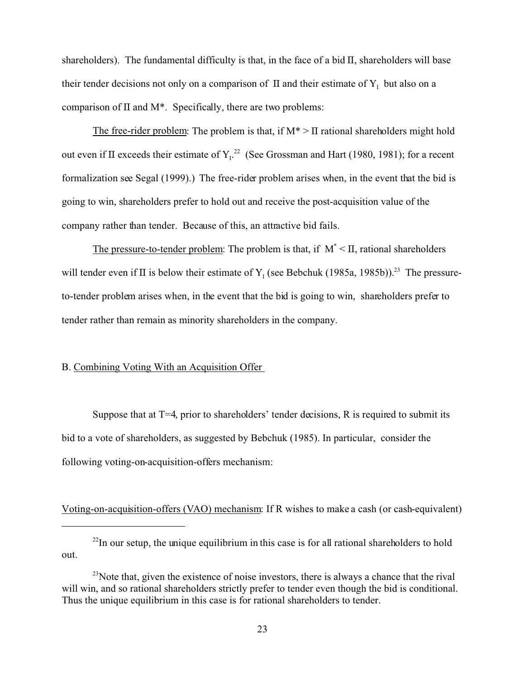shareholders). The fundamental difficulty is that, in the face of a bid  $\Pi$ , shareholders will base their tender decisions not only on a comparison of  $\Pi$  and their estimate of  $Y_1$  but also on a comparison of  $\Pi$  and  $M^*$ . Specifically, there are two problems:

The free-rider problem: The problem is that, if  $M^* > \Pi$  rational shareholders might hold out even if  $\Pi$  exceeds their estimate of  $Y<sub>L</sub>^{22}$  (See Grossman and Hart (1980, 1981); for a recent formalization see Segal (1999).) The free-rider problem arises when, in the event that the bid is going to win, shareholders prefer to hold out and receive the post-acquisition value of the company rather than tender. Because of this, an attractive bid fails.

The pressure-to-tender problem: The problem is that, if  $M^*$  <  $\Pi$ , rational shareholders will tender even if  $\Pi$  is below their estimate of Y<sub>I</sub> (see Bebchuk (1985a, 1985b)).<sup>23</sup> The pressureto-tender problem arises when, in the event that the bid is going to win, shareholders prefer to tender rather than remain as minority shareholders in the company.

# B. Combining Voting With an Acquisition Offer

Suppose that at  $T=4$ , prior to shareholders' tender decisions, R is required to submit its bid to a vote of shareholders, as suggested by Bebchuk (1985). In particular, consider the following voting-on-acquisition-offers mechanism:

Voting-on-acquisition-offers (VAO) mechanism: If R wishes to make a cash (or cash-equivalent)

 $^{22}$ In our setup, the unique equilibrium in this case is for all rational shareholders to hold out.

 $^{23}$ Note that, given the existence of noise investors, there is always a chance that the rival will win, and so rational shareholders strictly prefer to tender even though the bid is conditional. Thus the unique equilibrium in this case is for rational shareholders to tender.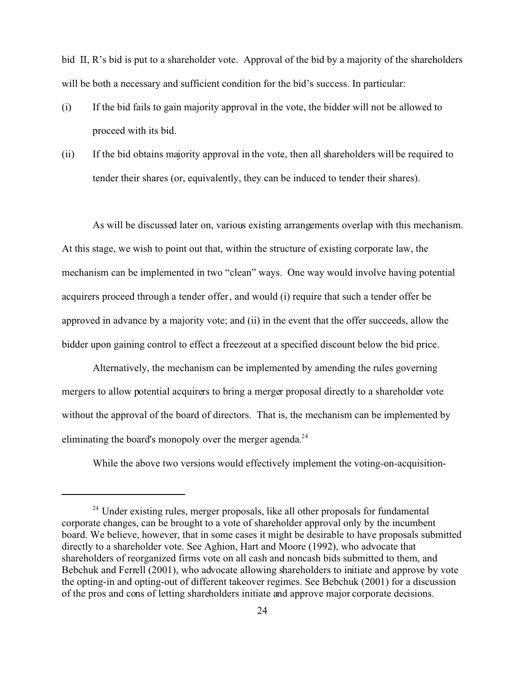bid  $\Pi$ , R's bid is put to a shareholder vote. Approval of the bid by a majority of the shareholders will be both a necessary and sufficient condition for the bid's success. In particular:

- (i) If the bid fails to gain majority approval in the vote, the bidder will not be allowed to proceed with its bid.
- (ii) If the bid obtains majority approval in the vote, then all shareholders will be required to tender their shares (or, equivalently, they can be induced to tender their shares).

As will be discussed later on, various existing arrangements overlap with this mechanism. At this stage, we wish to point out that, within the structure of existing corporate law, the mechanism can be implemented in two "clean" ways. One way would involve having potential acquirers proceed through a tender offer, and would (i) require that such a tender offer be approved in advance by a majority vote; and (ii) in the event that the offer succeeds, allow the bidder upon gaining control to effect a freezeout at a specified discount below the bid price.

Alternatively, the mechanism can be implemented by amending the rules governing mergers to allow potential acquirers to bring a merger proposal directly to a shareholder vote without the approval of the board of directors. That is, the mechanism can be implemented by eliminating the board's monopoly over the merger agenda.<sup>24</sup>

While the above two versions would effectively implement the voting-on-acquisition-

<sup>&</sup>lt;sup>24</sup> Under existing rules, merger proposals, like all other proposals for fundamental corporate changes, can be brought to a vote of shareholder approval only by the incumbent board. We believe, however, that in some cases it might be desirable to have proposals submitted directly to a shareholder vote. See Aghion, Hart and Moore (1992), who advocate that shareholders of reorganized firms vote on all cash and noncash bids submitted to them, and Bebchuk and Ferrell (2001), who advocate allowing shareholders to initiate and approve by vote the opting-in and opting-out of different takeover regimes. See Bebchuk (2001) for a discussion of the pros and cons of letting shareholders initiate and approve major corporate decisions.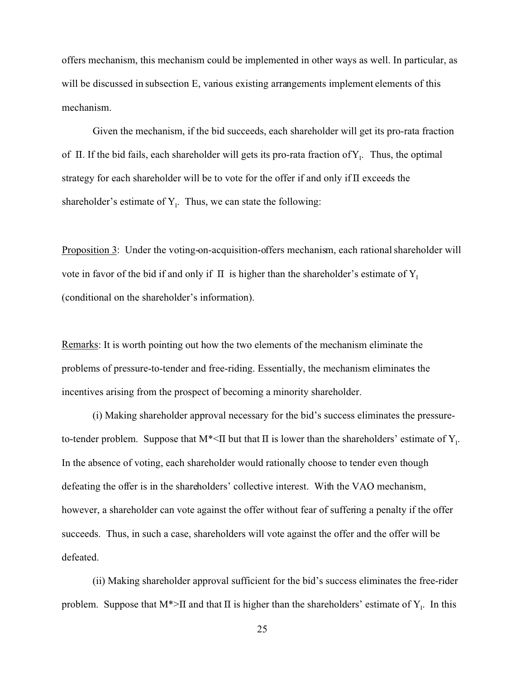offers mechanism, this mechanism could be implemented in other ways as well. In particular, as will be discussed in subsection E, various existing arrangements implement elements of this mechanism.

Given the mechanism, if the bid succeeds, each shareholder will get its pro-rata fraction of II. If the bid fails, each shareholder will gets its pro-rata fraction of  $Y<sub>1</sub>$ . Thus, the optimal strategy for each shareholder will be to vote for the offer if and only if  $\Pi$  exceeds the shareholder's estimate of  $Y<sub>1</sub>$ . Thus, we can state the following:

Proposition 3: Under the voting-on-acquisition-offers mechanism, each rational shareholder will vote in favor of the bid if and only if  $\Pi$  is higher than the shareholder's estimate of Y<sub>1</sub> (conditional on the shareholder's information).

Remarks: It is worth pointing out how the two elements of the mechanism eliminate the problems of pressure-to-tender and free-riding. Essentially, the mechanism eliminates the incentives arising from the prospect of becoming a minority shareholder.

(i) Making shareholder approval necessary for the bid's success eliminates the pressureto-tender problem. Suppose that  $M^*$ <II but that II is lower than the shareholders' estimate of  $Y_I$ . In the absence of voting, each shareholder would rationally choose to tender even though defeating the offer is in the shareholders' collective interest. With the VAO mechanism, however, a shareholder can vote against the offer without fear of suffering a penalty if the offer succeeds. Thus, in such a case, shareholders will vote against the offer and the offer will be defeated.

(ii) Making shareholder approval sufficient for the bid's success eliminates the free-rider problem. Suppose that  $M^*$ >II and that II is higher than the shareholders' estimate of  $Y_1$ . In this

25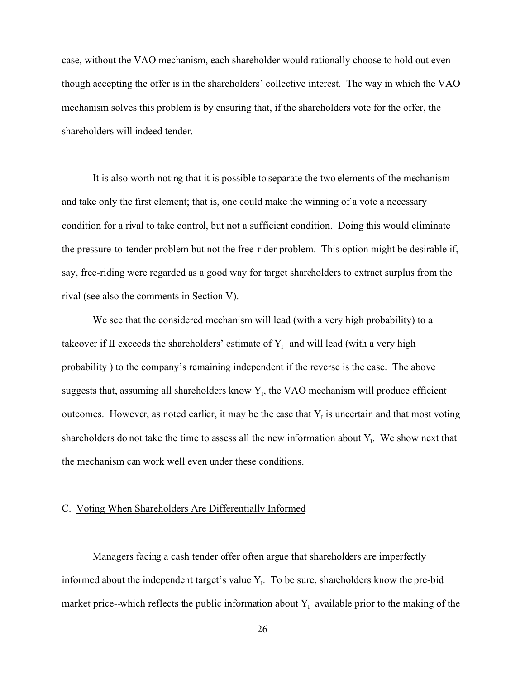case, without the VAO mechanism, each shareholder would rationally choose to hold out even though accepting the offer is in the shareholders' collective interest. The way in which the VAO mechanism solves this problem is by ensuring that, if the shareholders vote for the offer, the shareholders will indeed tender.

It is also worth noting that it is possible to separate the two elements of the mechanism and take only the first element; that is, one could make the winning of a vote a necessary condition for a rival to take control, but not a sufficient condition. Doing this would eliminate the pressure-to-tender problem but not the free-rider problem. This option might be desirable if, say, free-riding were regarded as a good way for target shareholders to extract surplus from the rival (see also the comments in Section V).

We see that the considered mechanism will lead (with a very high probability) to a takeover if  $\Pi$  exceeds the shareholders' estimate of  $Y<sub>I</sub>$  and will lead (with a very high probability ) to the company's remaining independent if the reverse is the case. The above suggests that, assuming all shareholders know  $Y<sub>1</sub>$ , the VAO mechanism will produce efficient outcomes. However, as noted earlier, it may be the case that  $Y<sub>I</sub>$  is uncertain and that most voting shareholders do not take the time to assess all the new information about  $Y_i$ . We show next that the mechanism can work well even under these conditions.

#### C. Voting When Shareholders Are Differentially Informed

Managers facing a cash tender offer often argue that shareholders are imperfectly informed about the independent target's value  $Y_i$ . To be sure, shareholders know the pre-bid market price--which reflects the public information about  $Y_1$  available prior to the making of the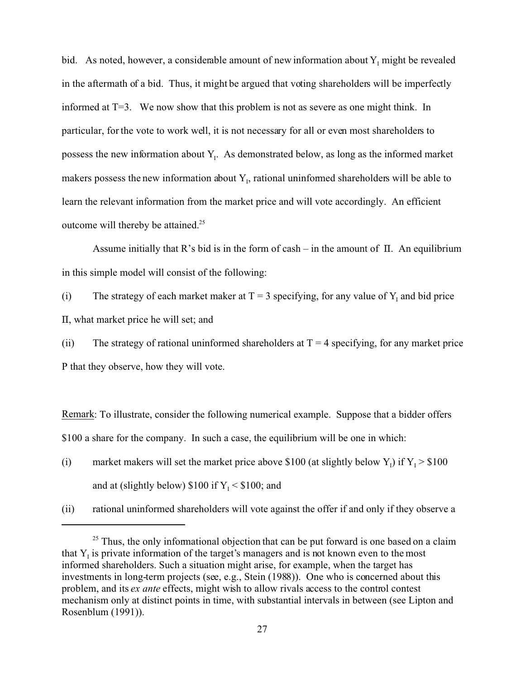bid. As noted, however, a considerable amount of new information about  $Y_1$  might be revealed in the aftermath of a bid. Thus, it might be argued that voting shareholders will be imperfectly informed at T=3. We now show that this problem is not as severe as one might think. In particular, for the vote to work well, it is not necessary for all or even most shareholders to possess the new information about  $Y_1$ . As demonstrated below, as long as the informed market makers possess the new information about  $Y<sub>1</sub>$ , rational uninformed shareholders will be able to learn the relevant information from the market price and will vote accordingly. An efficient outcome will thereby be attained.<sup>25</sup>

Assume initially that R's bid is in the form of cash – in the amount of  $\Pi$ . An equilibrium in this simple model will consist of the following:

(i) The strategy of each market maker at  $T = 3$  specifying, for any value of  $Y_I$  and bid price  $\Pi$ , what market price he will set; and

(ii) The strategy of rational uninformed shareholders at  $T = 4$  specifying, for any market price P that they observe, how they will vote.

Remark: To illustrate, consider the following numerical example. Suppose that a bidder offers \$100 a share for the company. In such a case, the equilibrium will be one in which:

- (i) market makers will set the market price above \$100 (at slightly below  $Y_I$ ) if  $Y_I > $100$ and at (slightly below)  $$100$  if  $Y_1 < $100$ ; and
- (ii) rational uninformed shareholders will vote against the offer if and only if they observe a

 $25$  Thus, the only informational objection that can be put forward is one based on a claim that  $Y_1$  is private information of the target's managers and is not known even to the most informed shareholders. Such a situation might arise, for example, when the target has investments in long-term projects (see, e.g., Stein (1988)). One who is concerned about this problem, and its *ex ante* effects, might wish to allow rivals access to the control contest mechanism only at distinct points in time, with substantial intervals in between (see Lipton and Rosenblum (1991)).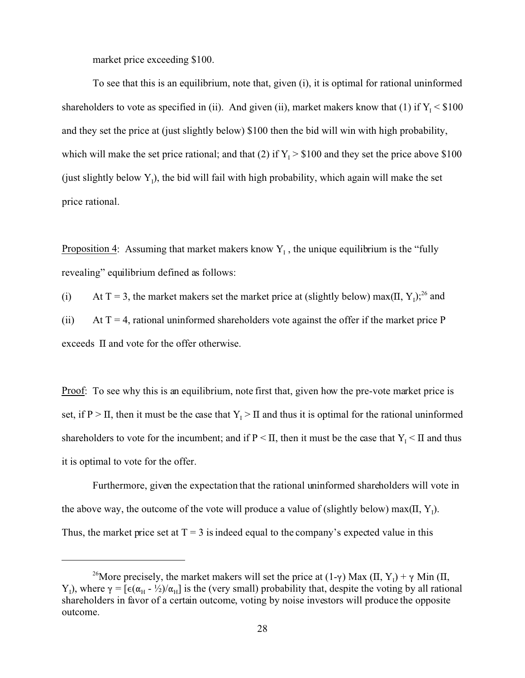market price exceeding \$100.

To see that this is an equilibrium, note that, given (i), it is optimal for rational uninformed shareholders to vote as specified in (ii). And given (ii), market makers know that (1) if  $Y_1 < $100$ and they set the price at (just slightly below) \$100 then the bid will win with high probability, which will make the set price rational; and that (2) if  $Y_I > $100$  and they set the price above \$100 (just slightly below  $Y_1$ ), the bid will fail with high probability, which again will make the set price rational.

Proposition 4: Assuming that market makers know  $Y_1$ , the unique equilibrium is the "fully" revealing" equilibrium defined as follows:

(i) At T = 3, the market makers set the market price at (slightly below) max( $\Pi$ ,  $Y_1$ );<sup>26</sup> and

(ii) At  $T = 4$ , rational uninformed shareholders vote against the offer if the market price P exceeds  $\Pi$  and vote for the offer otherwise.

Proof: To see why this is an equilibrium, note first that, given how the pre-vote market price is set, if  $P > \Pi$ , then it must be the case that  $Y_I > \Pi$  and thus it is optimal for the rational uninformed shareholders to vote for the incumbent; and if  $P \leq \Pi$ , then it must be the case that  $Y_I \leq \Pi$  and thus it is optimal to vote for the offer.

Furthermore, given the expectation that the rational uninformed shareholders will vote in the above way, the outcome of the vote will produce a value of (slightly below) max( $\Pi$ ,  $Y_I$ ). Thus, the market price set at  $T = 3$  is indeed equal to the company's expected value in this

<sup>&</sup>lt;sup>26</sup>More precisely, the market makers will set the price at  $(1-\gamma)$  Max  $(\Pi, Y_1) + \gamma$  Min  $(\Pi,$ Y<sub>1</sub>), where  $\gamma = [\epsilon(\alpha_H - \frac{1}{2})/\alpha_H]$  is the (very small) probability that, despite the voting by all rational shareholders in favor of a certain outcome, voting by noise investors will produce the opposite outcome.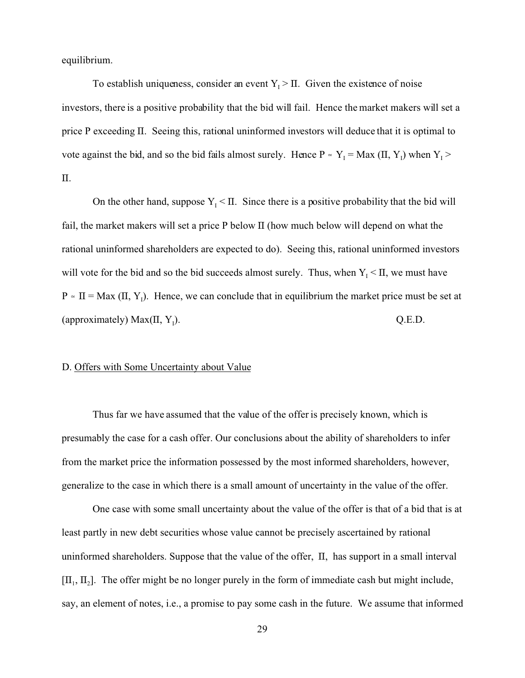equilibrium.

To establish uniqueness, consider an event  $Y_1 > \Pi$ . Given the existence of noise investors, there is a positive probability that the bid will fail. Hence the market makers will set a price P exceeding  $\Pi$ . Seeing this, rational uninformed investors will deduce that it is optimal to vote against the bid, and so the bid fails almost surely. Hence  $P \approx Y_1 = Max (II, Y_1)$  when  $Y_1$  $\Pi$ .

On the other hand, suppose  $Y_1 \leq \Pi$ . Since there is a positive probability that the bid will fail, the market makers will set a price  $P$  below  $\Pi$  (how much below will depend on what the rational uninformed shareholders are expected to do). Seeing this, rational uninformed investors will vote for the bid and so the bid succeeds almost surely. Thus, when  $Y_I \leq \Pi$ , we must have  $P \approx \Pi = \text{Max } (\Pi, Y_1)$ . Hence, we can conclude that in equilibrium the market price must be set at (approximately) Max $(\Pi, Y)$ . ). Q.E.D.

# D. Offers with Some Uncertainty about Value

Thus far we have assumed that the value of the offer is precisely known, which is presumably the case for a cash offer. Our conclusions about the ability of shareholders to infer from the market price the information possessed by the most informed shareholders, however, generalize to the case in which there is a small amount of uncertainty in the value of the offer.

One case with some small uncertainty about the value of the offer is that of a bid that is at least partly in new debt securities whose value cannot be precisely ascertained by rational uninformed shareholders. Suppose that the value of the offer,  $\Pi$ , has support in a small interval  $[\Pi_1, \Pi_2]$ . The offer might be no longer purely in the form of immediate cash but might include, say, an element of notes, i.e., a promise to pay some cash in the future. We assume that informed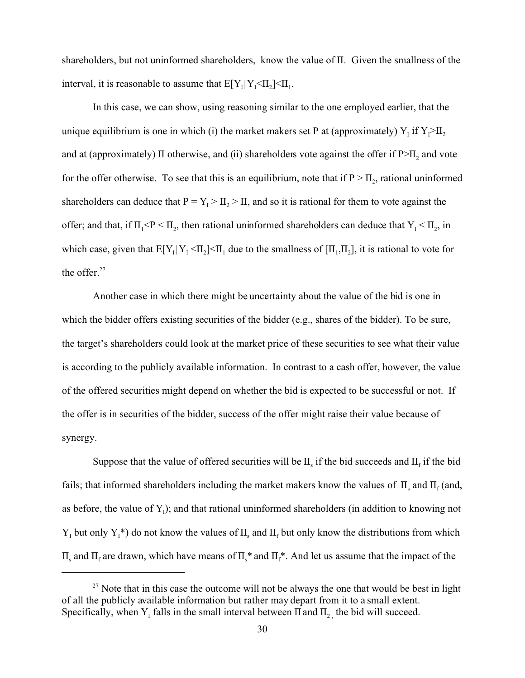shareholders, but not uninformed shareholders, know the value of  $\Pi$ . Given the smallness of the interval, it is reasonable to assume that  $E[Y_1|Y_1 \leq \Pi_2] \leq \Pi_1$ .

In this case, we can show, using reasoning similar to the one employed earlier, that the unique equilibrium is one in which (i) the market makers set P at (approximately)  $Y_1$  if  $Y_1 > I_2$ and at (approximately)  $\Pi$  otherwise, and (ii) shareholders vote against the offer if  $P>H_2$  and vote for the offer otherwise. To see that this is an equilibrium, note that if  $P > \Pi_2$ , rational uninformed shareholders can deduce that  $P = Y_1 > \Pi_2 > \Pi$ , and so it is rational for them to vote against the offer; and that, if  $\Pi_1 < P < \Pi_2$ , then rational uninformed shareholders can deduce that  $Y_1 < \Pi_2$ , in which case, given that  $E[Y_1|Y_1 \leq \Pi_2] \leq \Pi_1$  due to the smallness of  $[\Pi_1, \Pi_2]$ , it is rational to vote for the offer.<sup>27</sup>

Another case in which there might be uncertainty about the value of the bid is one in which the bidder offers existing securities of the bidder (e.g., shares of the bidder). To be sure, the target's shareholders could look at the market price of these securities to see what their value is according to the publicly available information. In contrast to a cash offer, however, the value of the offered securities might depend on whether the bid is expected to be successful or not. If the offer is in securities of the bidder, success of the offer might raise their value because of synergy.

Suppose that the value of offered securities will be  $\Pi_s$  if the bid succeeds and  $\Pi_f$  if the bid fails; that informed shareholders including the market makers know the values of  $\Pi_s$  and  $\Pi_f$  (and, as before, the value of  $Y_1$ ); and that rational uninformed shareholders (in addition to knowing not  $Y_1$  but only  $Y_1^*$ ) do not know the values of  $\Pi_s$  and  $\Pi_f$  but only know the distributions from which  $\Pi_s$  and  $\Pi_f$  are drawn, which have means of  $\Pi_s^*$  and  $\Pi_f^*$ . And let us assume that the impact of the

 $27$  Note that in this case the outcome will not be always the one that would be best in light of all the publicly available information but rather may depart from it to a small extent. Specifically, when  $Y_I$  falls in the small interval between  $\Pi$  and  $\Pi_{2,I}$  the bid will succeed.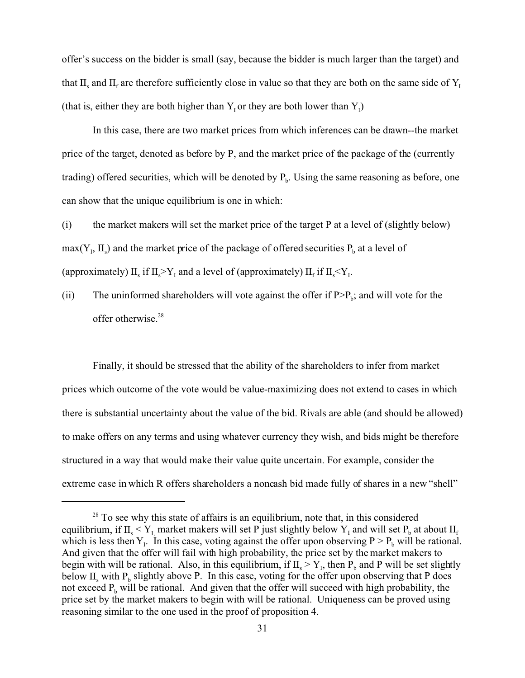offer's success on the bidder is small (say, because the bidder is much larger than the target) and that  $\Pi_s$  and  $\Pi_f$  are therefore sufficiently close in value so that they are both on the same side of  $Y_I$ (that is, either they are both higher than  $Y_1$  or they are both lower than  $Y_1$ )

In this case, there are two market prices from which inferences can be drawn--the market price of the target, denoted as before by P, and the market price of the package of the (currently trading) offered securities, which will be denoted by  $P_b$ . Using the same reasoning as before, one can show that the unique equilibrium is one in which:

(i) the market makers will set the market price of the target P at a level of (slightly below)  $max(Y_1, \Pi_s)$  and the market price of the package of offered securities  $P_b$  at a level of (approximately)  $\Pi_s$  if  $\Pi_s > Y_1$  and a level of (approximately)  $\Pi_f$  if  $\Pi_s < Y_1$ .

(ii) The uninformed shareholders will vote against the offer if  $P > P_b$ ; and will vote for the offer otherwise.<sup>28</sup>

Finally, it should be stressed that the ability of the shareholders to infer from market prices which outcome of the vote would be value-maximizing does not extend to cases in which there is substantial uncertainty about the value of the bid. Rivals are able (and should be allowed) to make offers on any terms and using whatever currency they wish, and bids might be therefore structured in a way that would make their value quite uncertain. For example, consider the extreme case in which R offers shareholders a noncash bid made fully of shares in a new "shell"

<sup>&</sup>lt;sup>28</sup> To see why this state of affairs is an equilibrium, note that, in this considered equilibrium, if  $\Pi_s \le Y_{I}$ , market makers will set P just slightly below  $Y_I$  and will set  $P_b$  at about  $II_f$ which is less then  $Y_1$ . In this case, voting against the offer upon observing  $P > P_b$  will be rational. And given that the offer will fail with high probability, the price set by the market makers to begin with will be rational. Also, in this equilibrium, if  $\Pi_s > Y_l$ , then  $P_b$  and P will be set slightly below  $\Pi_s$  with  $P_b$  slightly above P. In this case, voting for the offer upon observing that P does not exceed  $P_b$  will be rational. And given that the offer will succeed with high probability, the price set by the market makers to begin with will be rational. Uniqueness can be proved using reasoning similar to the one used in the proof of proposition 4.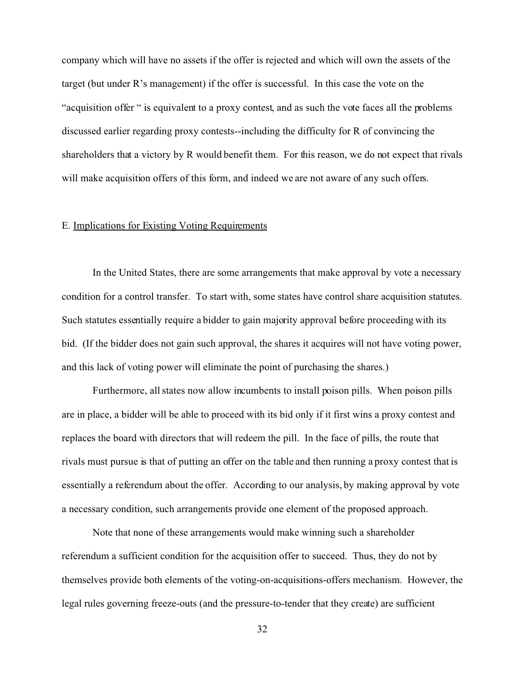company which will have no assets if the offer is rejected and which will own the assets of the target (but under R's management) if the offer is successful. In this case the vote on the "acquisition offer " is equivalent to a proxy contest, and as such the vote faces all the problems discussed earlier regarding proxy contests--including the difficulty for R of convincing the shareholders that a victory by R would benefit them. For this reason, we do not expect that rivals will make acquisition offers of this form, and indeed we are not aware of any such offers.

# E. Implications for Existing Voting Requirements

In the United States, there are some arrangements that make approval by vote a necessary condition for a control transfer. To start with, some states have control share acquisition statutes. Such statutes essentially require a bidder to gain majority approval before proceeding with its bid. (If the bidder does not gain such approval, the shares it acquires will not have voting power, and this lack of voting power will eliminate the point of purchasing the shares.)

Furthermore, all states now allow incumbents to install poison pills. When poison pills are in place, a bidder will be able to proceed with its bid only if it first wins a proxy contest and replaces the board with directors that will redeem the pill. In the face of pills, the route that rivals must pursue is that of putting an offer on the table and then running a proxy contest that is essentially a referendum about the offer. According to our analysis, by making approval by vote a necessary condition, such arrangements provide one element of the proposed approach.

Note that none of these arrangements would make winning such a shareholder referendum a sufficient condition for the acquisition offer to succeed. Thus, they do not by themselves provide both elements of the voting-on-acquisitions-offers mechanism. However, the legal rules governing freeze-outs (and the pressure-to-tender that they create) are sufficient

32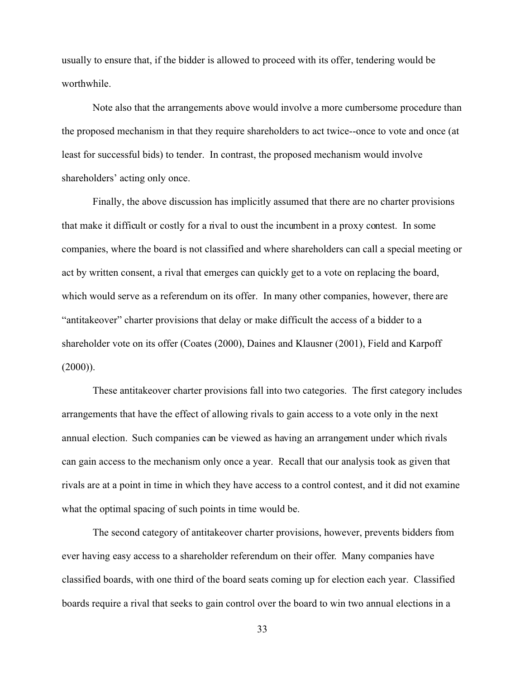usually to ensure that, if the bidder is allowed to proceed with its offer, tendering would be worthwhile.

Note also that the arrangements above would involve a more cumbersome procedure than the proposed mechanism in that they require shareholders to act twice--once to vote and once (at least for successful bids) to tender. In contrast, the proposed mechanism would involve shareholders' acting only once.

Finally, the above discussion has implicitly assumed that there are no charter provisions that make it difficult or costly for a rival to oust the incumbent in a proxy contest. In some companies, where the board is not classified and where shareholders can call a special meeting or act by written consent, a rival that emerges can quickly get to a vote on replacing the board, which would serve as a referendum on its offer. In many other companies, however, there are "antitakeover" charter provisions that delay or make difficult the access of a bidder to a shareholder vote on its offer (Coates (2000), Daines and Klausner (2001), Field and Karpoff  $(2000)$ ).

These antitakeover charter provisions fall into two categories. The first category includes arrangements that have the effect of allowing rivals to gain access to a vote only in the next annual election. Such companies can be viewed as having an arrangement under which rivals can gain access to the mechanism only once a year. Recall that our analysis took as given that rivals are at a point in time in which they have access to a control contest, and it did not examine what the optimal spacing of such points in time would be.

The second category of antitakeover charter provisions, however, prevents bidders from ever having easy access to a shareholder referendum on their offer. Many companies have classified boards, with one third of the board seats coming up for election each year. Classified boards require a rival that seeks to gain control over the board to win two annual elections in a

33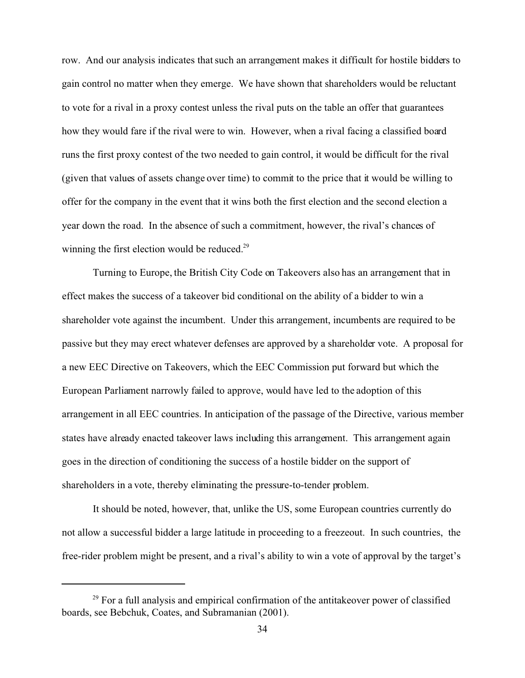row. And our analysis indicates that such an arrangement makes it difficult for hostile bidders to gain control no matter when they emerge. We have shown that shareholders would be reluctant to vote for a rival in a proxy contest unless the rival puts on the table an offer that guarantees how they would fare if the rival were to win. However, when a rival facing a classified board runs the first proxy contest of the two needed to gain control, it would be difficult for the rival (given that values of assets change over time) to commit to the price that it would be willing to offer for the company in the event that it wins both the first election and the second election a year down the road. In the absence of such a commitment, however, the rival's chances of winning the first election would be reduced.<sup>29</sup>

Turning to Europe, the British City Code on Takeovers also has an arrangement that in effect makes the success of a takeover bid conditional on the ability of a bidder to win a shareholder vote against the incumbent. Under this arrangement, incumbents are required to be passive but they may erect whatever defenses are approved by a shareholder vote. A proposal for a new EEC Directive on Takeovers, which the EEC Commission put forward but which the European Parliament narrowly failed to approve, would have led to the adoption of this arrangement in all EEC countries. In anticipation of the passage of the Directive, various member states have already enacted takeover laws including this arrangement. This arrangement again goes in the direction of conditioning the success of a hostile bidder on the support of shareholders in a vote, thereby eliminating the pressure-to-tender problem.

It should be noted, however, that, unlike the US, some European countries currently do not allow a successful bidder a large latitude in proceeding to a freezeout. In such countries, the free-rider problem might be present, and a rival's ability to win a vote of approval by the target's

 $29$  For a full analysis and empirical confirmation of the antitakeover power of classified boards, see Bebchuk, Coates, and Subramanian (2001).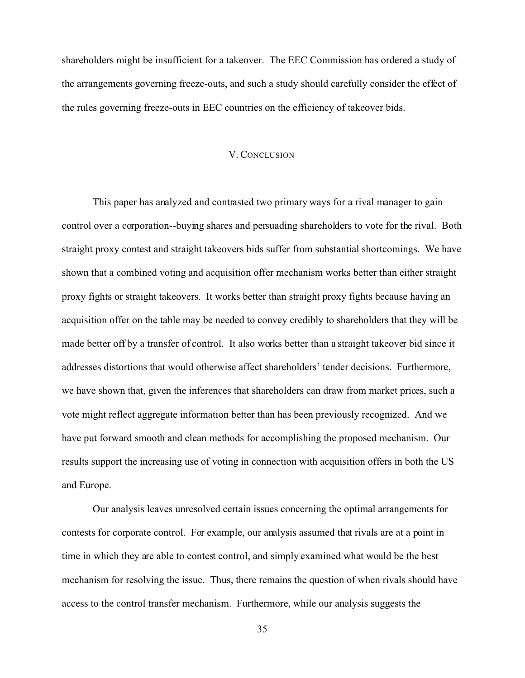shareholders might be insufficient for a takeover. The EEC Commission has ordered a study of the arrangements governing freeze-outs, and such a study should carefully consider the effect of the rules governing freeze-outs in EEC countries on the efficiency of takeover bids.

#### V. CONCLUSION

This paper has analyzed and contrasted two primary ways for a rival manager to gain control over a corporation--buying shares and persuading shareholders to vote for the rival. Both straight proxy contest and straight takeovers bids suffer from substantial shortcomings. We have shown that a combined voting and acquisition offer mechanism works better than either straight proxy fights or straight takeovers. It works better than straight proxy fights because having an acquisition offer on the table may be needed to convey credibly to shareholders that they will be made better off by a transfer of control. It also works better than a straight takeover bid since it addresses distortions that would otherwise affect shareholders' tender decisions. Furthermore, we have shown that, given the inferences that shareholders can draw from market prices, such a vote might reflect aggregate information better than has been previously recognized. And we have put forward smooth and clean methods for accomplishing the proposed mechanism. Our results support the increasing use of voting in connection with acquisition offers in both the US and Europe.

Our analysis leaves unresolved certain issues concerning the optimal arrangements for contests for corporate control. For example, our analysis assumed that rivals are at a point in time in which they are able to contest control, and simply examined what would be the best mechanism for resolving the issue. Thus, there remains the question of when rivals should have access to the control transfer mechanism. Furthermore, while our analysis suggests the

35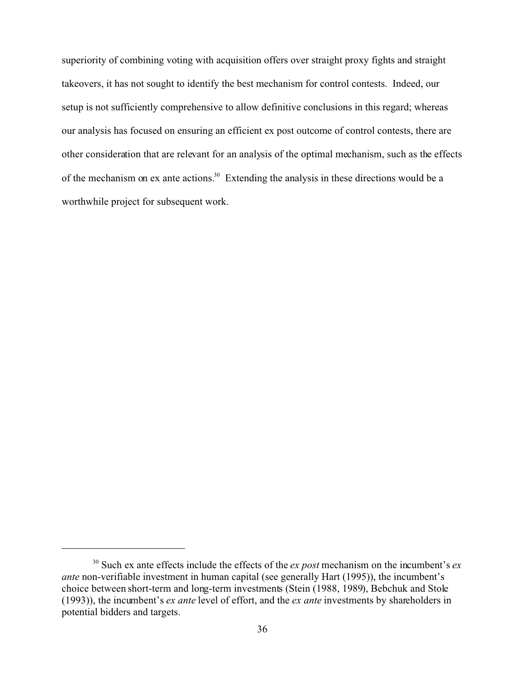superiority of combining voting with acquisition offers over straight proxy fights and straight takeovers, it has not sought to identify the best mechanism for control contests. Indeed, our setup is not sufficiently comprehensive to allow definitive conclusions in this regard; whereas our analysis has focused on ensuring an efficient ex post outcome of control contests, there are other consideration that are relevant for an analysis of the optimal mechanism, such as the effects of the mechanism on ex ante actions.<sup>30</sup> Extending the analysis in these directions would be a worthwhile project for subsequent work.

<sup>30</sup> Such ex ante effects include the effects of the *ex post* mechanism on the incumbent's *ex ante* non-verifiable investment in human capital (see generally Hart (1995)), the incumbent's choice between short-term and long-term investments (Stein (1988, 1989), Bebchuk and Stole (1993)), the incumbent's *ex ante* level of effort, and the *ex ante* investments by shareholders in potential bidders and targets.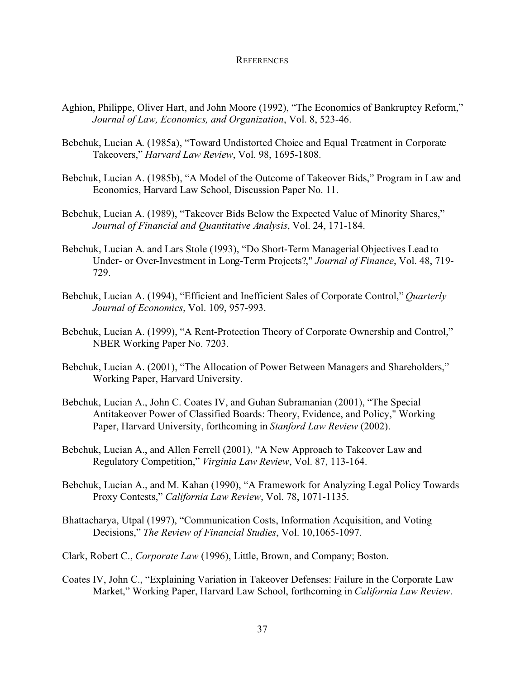#### **REFERENCES**

- Aghion, Philippe, Oliver Hart, and John Moore (1992), "The Economics of Bankruptcy Reform," *Journal of Law, Economics, and Organization*, Vol. 8, 523-46.
- Bebchuk, Lucian A. (1985a), "Toward Undistorted Choice and Equal Treatment in Corporate Takeovers," *Harvard Law Review*, Vol. 98, 1695-1808.
- Bebchuk, Lucian A. (1985b), "A Model of the Outcome of Takeover Bids," Program in Law and Economics, Harvard Law School, Discussion Paper No. 11.
- Bebchuk, Lucian A. (1989), "Takeover Bids Below the Expected Value of Minority Shares," *Journal of Financial and Quantitative Analysis*, Vol. 24, 171-184.
- Bebchuk, Lucian A. and Lars Stole (1993), "Do Short-Term Managerial Objectives Lead to Under- or Over-Investment in Long-Term Projects?," *Journal of Finance*, Vol. 48, 719- 729.
- Bebchuk, Lucian A. (1994), "Efficient and Inefficient Sales of Corporate Control," *Quarterly Journal of Economics*, Vol. 109, 957-993.
- Bebchuk, Lucian A. (1999), "A Rent-Protection Theory of Corporate Ownership and Control," NBER Working Paper No. 7203.
- Bebchuk, Lucian A. (2001), "The Allocation of Power Between Managers and Shareholders," Working Paper, Harvard University.
- Bebchuk, Lucian A., John C. Coates IV, and Guhan Subramanian (2001), "The Special Antitakeover Power of Classified Boards: Theory, Evidence, and Policy," Working Paper, Harvard University, forthcoming in *Stanford Law Review* (2002).
- Bebchuk, Lucian A., and Allen Ferrell (2001), "A New Approach to Takeover Law and Regulatory Competition," *Virginia Law Review*, Vol. 87, 113-164.
- Bebchuk, Lucian A., and M. Kahan (1990), "A Framework for Analyzing Legal Policy Towards Proxy Contests," *California Law Review*, Vol. 78, 1071-1135.
- Bhattacharya, Utpal (1997), "Communication Costs, Information Acquisition, and Voting Decisions," *The Review of Financial Studies*, Vol. 10,1065-1097.
- Clark, Robert C., *Corporate Law* (1996), Little, Brown, and Company; Boston.
- Coates IV, John C., "Explaining Variation in Takeover Defenses: Failure in the Corporate Law Market," Working Paper, Harvard Law School, forthcoming in *California Law Review*.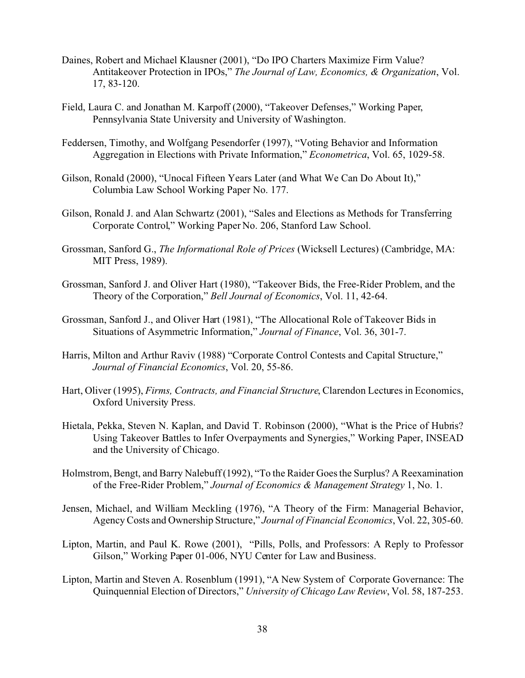- Daines, Robert and Michael Klausner (2001), "Do IPO Charters Maximize Firm Value? Antitakeover Protection in IPOs," *The Journal of Law, Economics, & Organization*, Vol. 17, 83-120.
- Field, Laura C. and Jonathan M. Karpoff (2000), "Takeover Defenses," Working Paper, Pennsylvania State University and University of Washington.
- Feddersen, Timothy, and Wolfgang Pesendorfer (1997), "Voting Behavior and Information Aggregation in Elections with Private Information," *Econometrica*, Vol. 65, 1029-58.
- Gilson, Ronald (2000), "Unocal Fifteen Years Later (and What We Can Do About It)," Columbia Law School Working Paper No. 177.
- Gilson, Ronald J. and Alan Schwartz (2001), "Sales and Elections as Methods for Transferring Corporate Control," Working Paper No. 206, Stanford Law School.
- Grossman, Sanford G., *The Informational Role of Prices* (Wicksell Lectures) (Cambridge, MA: MIT Press, 1989).
- Grossman, Sanford J. and Oliver Hart (1980), "Takeover Bids, the Free-Rider Problem, and the Theory of the Corporation," *Bell Journal of Economics*, Vol. 11, 42-64.
- Grossman, Sanford J., and Oliver Hart (1981), "The Allocational Role of Takeover Bids in Situations of Asymmetric Information," *Journal of Finance*, Vol. 36, 301-7.
- Harris, Milton and Arthur Raviv (1988) "Corporate Control Contests and Capital Structure," *Journal of Financial Economics*, Vol. 20, 55-86.
- Hart, Oliver (1995), *Firms, Contracts, and Financial Structure*, Clarendon Lectures in Economics, Oxford University Press.
- Hietala, Pekka, Steven N. Kaplan, and David T. Robinson (2000), "What is the Price of Hubris? Using Takeover Battles to Infer Overpayments and Synergies," Working Paper, INSEAD and the University of Chicago.
- Holmstrom, Bengt, and Barry Nalebuff (1992), "To the Raider Goes the Surplus? A Reexamination of the Free-Rider Problem," *Journal of Economics & Management Strategy* 1, No. 1.
- Jensen, Michael, and William Meckling (1976), "A Theory of the Firm: Managerial Behavior, Agency Costs and Ownership Structure," *Journal of Financial Economics*, Vol. 22, 305-60.
- Lipton, Martin, and Paul K. Rowe (2001), "Pills, Polls, and Professors: A Reply to Professor Gilson," Working Paper 01-006, NYU Center for Law and Business.
- Lipton, Martin and Steven A. Rosenblum (1991), "A New System of Corporate Governance: The Quinquennial Election of Directors," *University of Chicago Law Review*, Vol. 58, 187-253.